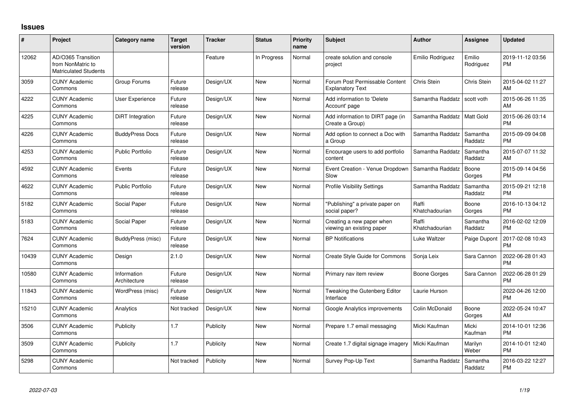## **Issues**

| #     | Project                                                                 | <b>Category name</b>        | <b>Target</b><br>version | <b>Tracker</b> | <b>Status</b> | <b>Priority</b><br>name | <b>Subject</b>                                            | <b>Author</b>           | <b>Assignee</b>     | <b>Updated</b>                |
|-------|-------------------------------------------------------------------------|-----------------------------|--------------------------|----------------|---------------|-------------------------|-----------------------------------------------------------|-------------------------|---------------------|-------------------------------|
| 12062 | AD/O365 Transition<br>from NonMatric to<br><b>Matriculated Students</b> |                             |                          | Feature        | In Progress   | Normal                  | create solution and console<br>project                    | Emilio Rodriguez        | Emilio<br>Rodriguez | 2019-11-12 03:56<br><b>PM</b> |
| 3059  | <b>CUNY Academic</b><br>Commons                                         | Group Forums                | Future<br>release        | Design/UX      | New           | Normal                  | Forum Post Permissable Content<br><b>Explanatory Text</b> | Chris Stein             | <b>Chris Stein</b>  | 2015-04-02 11:27<br>AM        |
| 4222  | <b>CUNY Academic</b><br>Commons                                         | <b>User Experience</b>      | Future<br>release        | Design/UX      | <b>New</b>    | Normal                  | Add information to 'Delete<br>Account' page               | Samantha Raddatz        | scott voth          | 2015-06-26 11:35<br>AM        |
| 4225  | <b>CUNY Academic</b><br>Commons                                         | DiRT Integration            | Future<br>release        | Design/UX      | <b>New</b>    | Normal                  | Add information to DIRT page (in<br>Create a Group)       | Samantha Raddatz        | Matt Gold           | 2015-06-26 03:14<br><b>PM</b> |
| 4226  | <b>CUNY Academic</b><br>Commons                                         | <b>BuddyPress Docs</b>      | Future<br>release        | Design/UX      | <b>New</b>    | Normal                  | Add option to connect a Doc with<br>a Group               | Samantha Raddatz        | Samantha<br>Raddatz | 2015-09-09 04:08<br><b>PM</b> |
| 4253  | <b>CUNY Academic</b><br>Commons                                         | <b>Public Portfolio</b>     | Future<br>release        | Design/UX      | <b>New</b>    | Normal                  | Encourage users to add portfolio<br>content               | Samantha Raddatz        | Samantha<br>Raddatz | 2015-07-07 11:32<br>AM        |
| 4592  | <b>CUNY Academic</b><br>Commons                                         | Events                      | Future<br>release        | Design/UX      | New           | Normal                  | Event Creation - Venue Dropdown<br>Slow                   | Samantha Raddatz        | Boone<br>Gorges     | 2015-09-14 04:56<br><b>PM</b> |
| 4622  | <b>CUNY Academic</b><br>Commons                                         | <b>Public Portfolio</b>     | Future<br>release        | Design/UX      | <b>New</b>    | Normal                  | <b>Profile Visibility Settings</b>                        | Samantha Raddatz        | Samantha<br>Raddatz | 2015-09-21 12:18<br><b>PM</b> |
| 5182  | <b>CUNY Academic</b><br>Commons                                         | Social Paper                | Future<br>release        | Design/UX      | New           | Normal                  | "Publishing" a private paper on<br>social paper?          | Raffi<br>Khatchadourian | Boone<br>Gorges     | 2016-10-13 04:12<br><b>PM</b> |
| 5183  | <b>CUNY Academic</b><br>Commons                                         | Social Paper                | Future<br>release        | Design/UX      | New           | Normal                  | Creating a new paper when<br>viewing an existing paper    | Raffi<br>Khatchadourian | Samantha<br>Raddatz | 2016-02-02 12:09<br><b>PM</b> |
| 7624  | <b>CUNY Academic</b><br>Commons                                         | BuddyPress (misc)           | Future<br>release        | Design/UX      | New           | Normal                  | <b>BP</b> Notifications                                   | Luke Waltzer            | Paige Dupont        | 2017-02-08 10:43<br><b>PM</b> |
| 10439 | <b>CUNY Academic</b><br>Commons                                         | Design                      | 2.1.0                    | Design/UX      | New           | Normal                  | <b>Create Style Guide for Commons</b>                     | Sonja Leix              | Sara Cannon         | 2022-06-28 01:43<br><b>PM</b> |
| 10580 | <b>CUNY Academic</b><br>Commons                                         | Information<br>Architecture | Future<br>release        | Design/UX      | <b>New</b>    | Normal                  | Primary nav item review                                   | Boone Gorges            | Sara Cannon         | 2022-06-28 01:29<br><b>PM</b> |
| 11843 | <b>CUNY Academic</b><br>Commons                                         | WordPress (misc)            | Future<br>release        | Design/UX      | <b>New</b>    | Normal                  | Tweaking the Gutenberg Editor<br>Interface                | Laurie Hurson           |                     | 2022-04-26 12:00<br><b>PM</b> |
| 15210 | <b>CUNY Academic</b><br>Commons                                         | Analytics                   | Not tracked              | Design/UX      | <b>New</b>    | Normal                  | Google Analytics improvements                             | Colin McDonald          | Boone<br>Gorges     | 2022-05-24 10:47<br>AM        |
| 3506  | <b>CUNY Academic</b><br>Commons                                         | Publicity                   | 1.7                      | Publicity      | <b>New</b>    | Normal                  | Prepare 1.7 email messaging                               | Micki Kaufman           | Micki<br>Kaufman    | 2014-10-01 12:36<br><b>PM</b> |
| 3509  | <b>CUNY Academic</b><br>Commons                                         | Publicity                   | 1.7                      | Publicity      | <b>New</b>    | Normal                  | Create 1.7 digital signage imagery                        | Micki Kaufman           | Marilyn<br>Weber    | 2014-10-01 12:40<br><b>PM</b> |
| 5298  | <b>CUNY Academic</b><br>Commons                                         |                             | Not tracked              | Publicity      | New           | Normal                  | Survey Pop-Up Text                                        | Samantha Raddatz        | Samantha<br>Raddatz | 2016-03-22 12:27<br><b>PM</b> |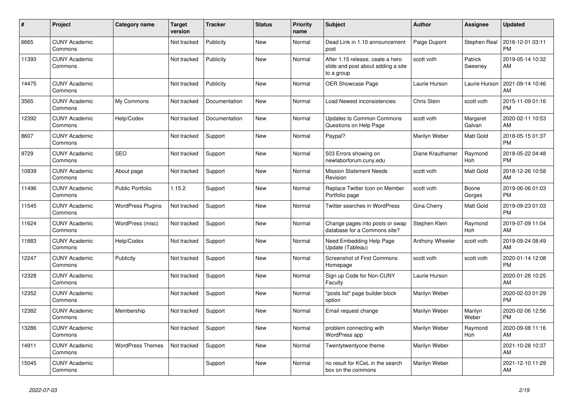| #     | <b>Project</b>                  | Category name            | <b>Target</b><br>version | <b>Tracker</b>       | <b>Status</b> | <b>Priority</b><br>name | <b>Subject</b>                                                                       | <b>Author</b>    | Assignee              | <b>Updated</b>                |
|-------|---------------------------------|--------------------------|--------------------------|----------------------|---------------|-------------------------|--------------------------------------------------------------------------------------|------------------|-----------------------|-------------------------------|
| 6665  | <b>CUNY Academic</b><br>Commons |                          | Not tracked              | Publicity            | <b>New</b>    | Normal                  | Dead Link in 1.10 announcement<br>post                                               | Paige Dupont     | Stephen Real          | 2016-12-01 03:11<br><b>PM</b> |
| 11393 | <b>CUNY Academic</b><br>Commons |                          | Not tracked              | Publicity            | <b>New</b>    | Normal                  | After 1.15 release, ceate a hero<br>slide and post about adding a site<br>to a group | scott voth       | Patrick<br>Sweeney    | 2019-05-14 10:32<br>AM        |
| 14475 | <b>CUNY Academic</b><br>Commons |                          | Not tracked              | Publicity            | <b>New</b>    | Normal                  | OER Showcase Page                                                                    | Laurie Hurson    | Laurie Hurson         | 2021-09-14 10:46<br>AM        |
| 3565  | <b>CUNY Academic</b><br>Commons | My Commons               | Not tracked              | <b>Documentation</b> | <b>New</b>    | Normal                  | Load Newest inconsistencies                                                          | Chris Stein      | scott voth            | 2015-11-09 01:16<br><b>PM</b> |
| 12392 | <b>CUNY Academic</b><br>Commons | Help/Codex               | Not tracked              | Documentation        | New           | Normal                  | <b>Updates to Common Commons</b><br>Questions on Help Page                           | scott voth       | Margaret<br>Galvan    | 2020-02-11 10:53<br>AM        |
| 8607  | <b>CUNY Academic</b><br>Commons |                          | Not tracked              | Support              | <b>New</b>    | Normal                  | Paypal?                                                                              | Marilyn Weber    | Matt Gold             | 2018-05-15 01:37<br><b>PM</b> |
| 9729  | <b>CUNY Academic</b><br>Commons | <b>SEO</b>               | Not tracked              | Support              | <b>New</b>    | Normal                  | 503 Errors showing on<br>newlaborforum.cuny.edu                                      | Diane Krauthamer | Raymond<br><b>Hoh</b> | 2018-05-22 04:48<br><b>PM</b> |
| 10839 | <b>CUNY Academic</b><br>Commons | About page               | Not tracked              | Support              | New           | Normal                  | <b>Mission Statement Needs</b><br>Revision                                           | scott voth       | <b>Matt Gold</b>      | 2018-12-26 10:58<br>AM        |
| 11496 | <b>CUNY Academic</b><br>Commons | <b>Public Portfolio</b>  | 1.15.2                   | Support              | <b>New</b>    | Normal                  | Replace Twitter Icon on Member<br>Portfolio page                                     | scott voth       | Boone<br>Gorges       | 2019-06-06 01:03<br><b>PM</b> |
| 11545 | <b>CUNY Academic</b><br>Commons | <b>WordPress Plugins</b> | Not tracked              | Support              | <b>New</b>    | Normal                  | <b>Twitter searches in WordPress</b>                                                 | Gina Cherry      | Matt Gold             | 2019-09-23 01:03<br><b>PM</b> |
| 11624 | <b>CUNY Academic</b><br>Commons | WordPress (misc)         | Not tracked              | Support              | New           | Normal                  | Change pages into posts or swap<br>database for a Commons site?                      | Stephen Klein    | Raymond<br>Hoh        | 2019-07-09 11:04<br>AM        |
| 11883 | <b>CUNY Academic</b><br>Commons | Help/Codex               | Not tracked              | Support              | <b>New</b>    | Normal                  | Need Embedding Help Page<br>Update (Tableau)                                         | Anthony Wheeler  | scott voth            | 2019-09-24 08:49<br>AM        |
| 12247 | <b>CUNY Academic</b><br>Commons | Publicity                | Not tracked              | Support              | <b>New</b>    | Normal                  | <b>Screenshot of First Commons</b><br>Homepage                                       | scott voth       | scott voth            | 2020-01-14 12:08<br>PM        |
| 12328 | <b>CUNY Academic</b><br>Commons |                          | Not tracked              | Support              | <b>New</b>    | Normal                  | Sign up Code for Non-CUNY<br>Faculty                                                 | Laurie Hurson    |                       | 2020-01-28 10:25<br>AM        |
| 12352 | <b>CUNY Academic</b><br>Commons |                          | Not tracked              | Support              | <b>New</b>    | Normal                  | 'posts list" page builder block<br>option                                            | Marilyn Weber    |                       | 2020-02-03 01:29<br><b>PM</b> |
| 12382 | <b>CUNY Academic</b><br>Commons | Membership               | Not tracked              | Support              | <b>New</b>    | Normal                  | Email request change                                                                 | Marilyn Weber    | Marilyn<br>Weber      | 2020-02-06 12:56<br><b>PM</b> |
| 13286 | <b>CUNY Academic</b><br>Commons |                          | Not tracked              | Support              | <b>New</b>    | Normal                  | problem connecting with<br>WordPress app                                             | Marilyn Weber    | Raymond<br>Hoh        | 2020-09-08 11:16<br>AM        |
| 14911 | <b>CUNY Academic</b><br>Commons | <b>WordPress Themes</b>  | Not tracked              | Support              | New           | Normal                  | Twentytwentyone theme                                                                | Marilyn Weber    |                       | 2021-10-28 10:37<br>AM        |
| 15045 | <b>CUNY Academic</b><br>Commons |                          |                          | Support              | <b>New</b>    | Normal                  | no result for KCeL in the search<br>box on the commons                               | Marilyn Weber    |                       | 2021-12-10 11:29<br>AM        |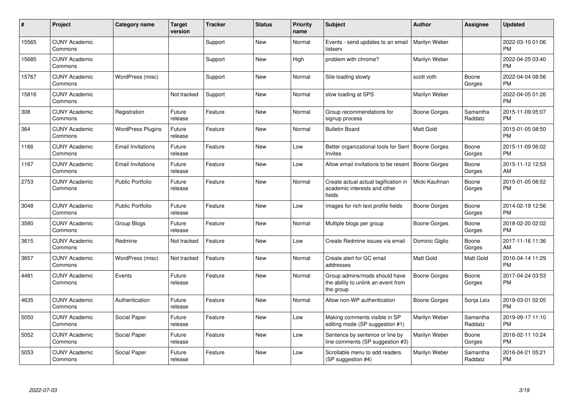| #     | Project                         | <b>Category name</b>     | <b>Target</b><br>version | <b>Tracker</b> | <b>Status</b> | Priority<br>name | <b>Subject</b>                                                                    | <b>Author</b>       | Assignee            | <b>Updated</b>                |
|-------|---------------------------------|--------------------------|--------------------------|----------------|---------------|------------------|-----------------------------------------------------------------------------------|---------------------|---------------------|-------------------------------|
| 15565 | <b>CUNY Academic</b><br>Commons |                          |                          | Support        | <b>New</b>    | Normal           | Events - send updates to an email<br>listserv                                     | Marilyn Weber       |                     | 2022-03-10 01:06<br><b>PM</b> |
| 15685 | <b>CUNY Academic</b><br>Commons |                          |                          | Support        | New           | High             | problem with chrome?                                                              | Marilyn Weber       |                     | 2022-04-25 03:40<br><b>PM</b> |
| 15767 | <b>CUNY Academic</b><br>Commons | WordPress (misc)         |                          | Support        | New           | Normal           | Site loading slowly                                                               | scott voth          | Boone<br>Gorges     | 2022-04-04 08:56<br><b>PM</b> |
| 15816 | <b>CUNY Academic</b><br>Commons |                          | Not tracked              | Support        | New           | Normal           | slow loading at SPS                                                               | Marilyn Weber       |                     | 2022-04-05 01:26<br><b>PM</b> |
| 308   | <b>CUNY Academic</b><br>Commons | Registration             | Future<br>release        | Feature        | New           | Normal           | Group recommendations for<br>signup process                                       | Boone Gorges        | Samantha<br>Raddatz | 2015-11-09 05:07<br><b>PM</b> |
| 364   | <b>CUNY Academic</b><br>Commons | <b>WordPress Plugins</b> | Future<br>release        | Feature        | <b>New</b>    | Normal           | <b>Bulletin Board</b>                                                             | Matt Gold           |                     | 2015-01-05 08:50<br><b>PM</b> |
| 1166  | <b>CUNY Academic</b><br>Commons | <b>Email Invitations</b> | Future<br>release        | Feature        | <b>New</b>    | Low              | Better organizational tools for Sent<br>Invites                                   | Boone Gorges        | Boone<br>Gorges     | 2015-11-09 06:02<br><b>PM</b> |
| 1167  | <b>CUNY Academic</b><br>Commons | <b>Email Invitations</b> | Future<br>release        | Feature        | <b>New</b>    | Low              | Allow email invitations to be resent                                              | Boone Gorges        | Boone<br>Gorges     | 2015-11-12 12:53<br>AM        |
| 2753  | <b>CUNY Academic</b><br>Commons | <b>Public Portfolio</b>  | Future<br>release        | Feature        | <b>New</b>    | Normal           | Create actual actual tagification in<br>academic interests and other<br>fields    | Micki Kaufman       | Boone<br>Gorges     | 2015-01-05 08:52<br><b>PM</b> |
| 3048  | <b>CUNY Academic</b><br>Commons | <b>Public Portfolio</b>  | Future<br>release        | Feature        | <b>New</b>    | Low              | Images for rich text profile fields                                               | Boone Gorges        | Boone<br>Gorges     | 2014-02-19 12:56<br><b>PM</b> |
| 3580  | <b>CUNY Academic</b><br>Commons | Group Blogs              | Future<br>release        | Feature        | <b>New</b>    | Normal           | Multiple blogs per group                                                          | Boone Gorges        | Boone<br>Gorges     | 2018-02-20 02:02<br><b>PM</b> |
| 3615  | <b>CUNY Academic</b><br>Commons | Redmine                  | Not tracked              | Feature        | New           | Low              | Create Redmine issues via email                                                   | Dominic Giglio      | Boone<br>Gorges     | 2017-11-16 11:36<br>AM        |
| 3657  | <b>CUNY Academic</b><br>Commons | WordPress (misc)         | Not tracked              | Feature        | <b>New</b>    | Normal           | Create alert for GC email<br>addresses                                            | Matt Gold           | Matt Gold           | 2016-04-14 11:29<br><b>PM</b> |
| 4481  | <b>CUNY Academic</b><br>Commons | Events                   | Future<br>release        | Feature        | <b>New</b>    | Normal           | Group admins/mods should have<br>the ability to unlink an event from<br>the group | <b>Boone Gorges</b> | Boone<br>Gorges     | 2017-04-24 03:53<br>PM        |
| 4635  | <b>CUNY Academic</b><br>Commons | Authentication           | Future<br>release        | Feature        | New           | Normal           | Allow non-WP authentication                                                       | Boone Gorges        | Sonja Leix          | 2019-03-01 02:05<br><b>PM</b> |
| 5050  | <b>CUNY Academic</b><br>Commons | Social Paper             | Future<br>release        | Feature        | New           | Low              | Making comments visible in SP<br>editing mode (SP suggestion #1)                  | Marilyn Weber       | Samantha<br>Raddatz | 2019-09-17 11:10<br>PM        |
| 5052  | <b>CUNY Academic</b><br>Commons | Social Paper             | Future<br>release        | Feature        | New           | Low              | Sentence by sentence or line by<br>line comments (SP suggestion #3)               | Marilyn Weber       | Boone<br>Gorges     | 2016-02-11 10:24<br>PM        |
| 5053  | <b>CUNY Academic</b><br>Commons | Social Paper             | Future<br>release        | Feature        | New           | Low              | Scrollable menu to add readers<br>(SP suggestion #4)                              | Marilyn Weber       | Samantha<br>Raddatz | 2016-04-21 05:21<br>PM        |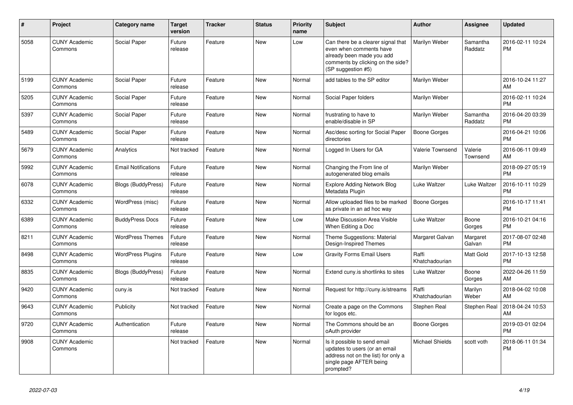| $\pmb{\sharp}$ | Project                         | <b>Category name</b>       | <b>Target</b><br>version | <b>Tracker</b> | <b>Status</b> | <b>Priority</b><br>name | <b>Subject</b>                                                                                                                                        | Author                  | Assignee            | <b>Updated</b>                |
|----------------|---------------------------------|----------------------------|--------------------------|----------------|---------------|-------------------------|-------------------------------------------------------------------------------------------------------------------------------------------------------|-------------------------|---------------------|-------------------------------|
| 5058           | <b>CUNY Academic</b><br>Commons | Social Paper               | Future<br>release        | Feature        | <b>New</b>    | Low                     | Can there be a clearer signal that<br>even when comments have<br>already been made you add<br>comments by clicking on the side?<br>(SP suggestion #5) | Marilyn Weber           | Samantha<br>Raddatz | 2016-02-11 10:24<br><b>PM</b> |
| 5199           | <b>CUNY Academic</b><br>Commons | Social Paper               | Future<br>release        | Feature        | <b>New</b>    | Normal                  | add tables to the SP editor                                                                                                                           | Marilyn Weber           |                     | 2016-10-24 11:27<br>AM        |
| 5205           | <b>CUNY Academic</b><br>Commons | Social Paper               | Future<br>release        | Feature        | <b>New</b>    | Normal                  | Social Paper folders                                                                                                                                  | Marilyn Weber           |                     | 2016-02-11 10:24<br><b>PM</b> |
| 5397           | <b>CUNY Academic</b><br>Commons | Social Paper               | Future<br>release        | Feature        | <b>New</b>    | Normal                  | frustrating to have to<br>enable/disable in SP                                                                                                        | Marilyn Weber           | Samantha<br>Raddatz | 2016-04-20 03:39<br><b>PM</b> |
| 5489           | <b>CUNY Academic</b><br>Commons | Social Paper               | Future<br>release        | Feature        | <b>New</b>    | Normal                  | Asc/desc sorting for Social Paper<br>directories                                                                                                      | <b>Boone Gorges</b>     |                     | 2016-04-21 10:06<br><b>PM</b> |
| 5679           | <b>CUNY Academic</b><br>Commons | Analytics                  | Not tracked              | Feature        | <b>New</b>    | Normal                  | Logged In Users for GA                                                                                                                                | Valerie Townsend        | Valerie<br>Townsend | 2016-06-11 09:49<br>AM        |
| 5992           | <b>CUNY Academic</b><br>Commons | <b>Email Notifications</b> | Future<br>release        | Feature        | <b>New</b>    | Normal                  | Changing the From line of<br>autogenerated blog emails                                                                                                | Marilyn Weber           |                     | 2018-09-27 05:19<br><b>PM</b> |
| 6078           | <b>CUNY Academic</b><br>Commons | <b>Blogs (BuddyPress)</b>  | Future<br>release        | Feature        | New           | Normal                  | <b>Explore Adding Network Blog</b><br>Metadata Plugin                                                                                                 | Luke Waltzer            | Luke Waltzer        | 2016-10-11 10:29<br><b>PM</b> |
| 6332           | <b>CUNY Academic</b><br>Commons | WordPress (misc)           | Future<br>release        | Feature        | <b>New</b>    | Normal                  | Allow uploaded files to be marked<br>as private in an ad hoc way                                                                                      | Boone Gorges            |                     | 2016-10-17 11:41<br><b>PM</b> |
| 6389           | <b>CUNY Academic</b><br>Commons | <b>BuddyPress Docs</b>     | Future<br>release        | Feature        | <b>New</b>    | Low                     | Make Discussion Area Visible<br>When Editing a Doc                                                                                                    | Luke Waltzer            | Boone<br>Gorges     | 2016-10-21 04:16<br><b>PM</b> |
| 8211           | <b>CUNY Academic</b><br>Commons | <b>WordPress Themes</b>    | Future<br>release        | Feature        | <b>New</b>    | Normal                  | Theme Suggestions: Material<br>Design-Inspired Themes                                                                                                 | Margaret Galvan         | Margaret<br>Galvan  | 2017-08-07 02:48<br><b>PM</b> |
| 8498           | <b>CUNY Academic</b><br>Commons | <b>WordPress Plugins</b>   | Future<br>release        | Feature        | New           | Low                     | <b>Gravity Forms Email Users</b>                                                                                                                      | Raffi<br>Khatchadourian | <b>Matt Gold</b>    | 2017-10-13 12:58<br><b>PM</b> |
| 8835           | <b>CUNY Academic</b><br>Commons | <b>Blogs (BuddyPress)</b>  | Future<br>release        | Feature        | <b>New</b>    | Normal                  | Extend cuny is shortlinks to sites                                                                                                                    | Luke Waltzer            | Boone<br>Gorges     | 2022-04-26 11:59<br>AM        |
| 9420           | <b>CUNY Academic</b><br>Commons | cuny.is                    | Not tracked              | Feature        | <b>New</b>    | Normal                  | Request for http://cuny.is/streams                                                                                                                    | Raffi<br>Khatchadourian | Marilyn<br>Weber    | 2018-04-02 10:08<br>AM        |
| 9643           | <b>CUNY Academic</b><br>Commons | Publicity                  | Not tracked              | Feature        | <b>New</b>    | Normal                  | Create a page on the Commons<br>for logos etc.                                                                                                        | Stephen Real            | Stephen Real        | 2018-04-24 10:53<br><b>AM</b> |
| 9720           | <b>CUNY Academic</b><br>Commons | Authentication             | Future<br>release        | Feature        | <b>New</b>    | Normal                  | The Commons should be an<br>oAuth provider                                                                                                            | Boone Gorges            |                     | 2019-03-01 02:04<br><b>PM</b> |
| 9908           | <b>CUNY Academic</b><br>Commons |                            | Not tracked              | Feature        | <b>New</b>    | Normal                  | Is it possible to send email<br>updates to users (or an email<br>address not on the list) for only a<br>single page AFTER being<br>prompted?          | <b>Michael Shields</b>  | scott voth          | 2018-06-11 01:34<br>PM        |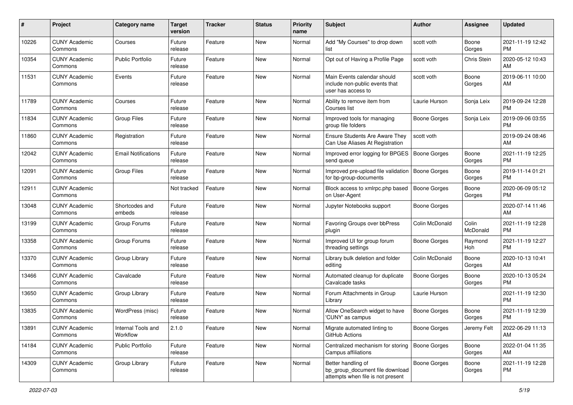| #     | Project                         | <b>Category name</b>           | <b>Target</b><br>version | <b>Tracker</b> | <b>Status</b> | Priority<br>name | <b>Subject</b>                                                                             | <b>Author</b>       | <b>Assignee</b>   | <b>Updated</b>                |
|-------|---------------------------------|--------------------------------|--------------------------|----------------|---------------|------------------|--------------------------------------------------------------------------------------------|---------------------|-------------------|-------------------------------|
| 10226 | <b>CUNY Academic</b><br>Commons | Courses                        | Future<br>release        | Feature        | New           | Normal           | Add "My Courses" to drop down<br>list                                                      | scott voth          | Boone<br>Gorges   | 2021-11-19 12:42<br>PM.       |
| 10354 | <b>CUNY Academic</b><br>Commons | <b>Public Portfolio</b>        | Future<br>release        | Feature        | New           | Normal           | Opt out of Having a Profile Page                                                           | scott voth          | Chris Stein       | 2020-05-12 10:43<br>AM        |
| 11531 | <b>CUNY Academic</b><br>Commons | Events                         | Future<br>release        | Feature        | New           | Normal           | Main Events calendar should<br>include non-public events that<br>user has access to        | scott voth          | Boone<br>Gorges   | 2019-06-11 10:00<br>AM        |
| 11789 | <b>CUNY Academic</b><br>Commons | Courses                        | Future<br>release        | Feature        | <b>New</b>    | Normal           | Ability to remove item from<br>Courses list                                                | Laurie Hurson       | Sonja Leix        | 2019-09-24 12:28<br><b>PM</b> |
| 11834 | <b>CUNY Academic</b><br>Commons | <b>Group Files</b>             | Future<br>release        | Feature        | New           | Normal           | Improved tools for managing<br>group file folders                                          | Boone Gorges        | Sonja Leix        | 2019-09-06 03:55<br><b>PM</b> |
| 11860 | <b>CUNY Academic</b><br>Commons | Registration                   | Future<br>release        | Feature        | New           | Normal           | <b>Ensure Students Are Aware They</b><br>Can Use Aliases At Registration                   | scott voth          |                   | 2019-09-24 08:46<br>AM        |
| 12042 | <b>CUNY Academic</b><br>Commons | <b>Email Notifications</b>     | Future<br>release        | Feature        | New           | Normal           | Improved error logging for BPGES   Boone Gorges<br>send queue                              |                     | Boone<br>Gorges   | 2021-11-19 12:25<br><b>PM</b> |
| 12091 | <b>CUNY Academic</b><br>Commons | <b>Group Files</b>             | Future<br>release        | Feature        | New           | Normal           | Improved pre-upload file validation<br>for bp-group-documents                              | <b>Boone Gorges</b> | Boone<br>Gorges   | 2019-11-14 01:21<br><b>PM</b> |
| 12911 | <b>CUNY Academic</b><br>Commons |                                | Not tracked              | Feature        | New           | Normal           | Block access to xmlrpc.php based<br>on User-Agent                                          | <b>Boone Gorges</b> | Boone<br>Gorges   | 2020-06-09 05:12<br>PM.       |
| 13048 | <b>CUNY Academic</b><br>Commons | Shortcodes and<br>embeds       | Future<br>release        | Feature        | New           | Normal           | Jupyter Notebooks support                                                                  | Boone Gorges        |                   | 2020-07-14 11:46<br>AM        |
| 13199 | <b>CUNY Academic</b><br>Commons | Group Forums                   | Future<br>release        | Feature        | New           | Normal           | Favoring Groups over bbPress<br>plugin                                                     | Colin McDonald      | Colin<br>McDonald | 2021-11-19 12:28<br>PM.       |
| 13358 | <b>CUNY Academic</b><br>Commons | Group Forums                   | Future<br>release        | Feature        | <b>New</b>    | Normal           | Improved UI for group forum<br>threading settings                                          | Boone Gorges        | Raymond<br>Hoh    | 2021-11-19 12:27<br><b>PM</b> |
| 13370 | <b>CUNY Academic</b><br>Commons | Group Library                  | Future<br>release        | Feature        | <b>New</b>    | Normal           | Library bulk deletion and folder<br>editing                                                | Colin McDonald      | Boone<br>Gorges   | 2020-10-13 10:41<br>AM        |
| 13466 | <b>CUNY Academic</b><br>Commons | Cavalcade                      | Future<br>release        | Feature        | New           | Normal           | Automated cleanup for duplicate<br>Cavalcade tasks                                         | Boone Gorges        | Boone<br>Gorges   | 2020-10-13 05:24<br><b>PM</b> |
| 13650 | <b>CUNY Academic</b><br>Commons | Group Library                  | Future<br>release        | Feature        | New           | Normal           | Forum Attachments in Group<br>Library                                                      | Laurie Hurson       |                   | 2021-11-19 12:30<br><b>PM</b> |
| 13835 | <b>CUNY Academic</b><br>Commons | WordPress (misc)               | Future<br>release        | Feature        | New           | Normal           | Allow OneSearch widget to have<br>'CUNY' as campus                                         | <b>Boone Gorges</b> | Boone<br>Gorges   | 2021-11-19 12:39<br><b>PM</b> |
| 13891 | <b>CUNY Academic</b><br>Commons | Internal Tools and<br>Workflow | 2.1.0                    | Feature        | New           | Normal           | Migrate automated linting to<br>GitHub Actions                                             | Boone Gorges        | Jeremy Felt       | 2022-06-29 11:13<br>AM        |
| 14184 | <b>CUNY Academic</b><br>Commons | Public Portfolio               | Future<br>release        | Feature        | New           | Normal           | Centralized mechanism for storing<br>Campus affiliations                                   | Boone Gorges        | Boone<br>Gorges   | 2022-01-04 11:35<br>AM        |
| 14309 | <b>CUNY Academic</b><br>Commons | Group Library                  | Future<br>release        | Feature        | New           | Normal           | Better handling of<br>bp_group_document file download<br>attempts when file is not present | <b>Boone Gorges</b> | Boone<br>Gorges   | 2021-11-19 12:28<br><b>PM</b> |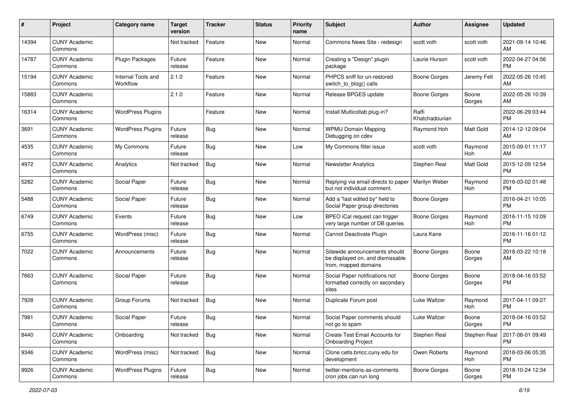| #     | Project                         | <b>Category name</b>           | <b>Target</b><br>version | <b>Tracker</b> | <b>Status</b> | Priority<br>name | <b>Subject</b>                                                                            | <b>Author</b>           | <b>Assignee</b> | <b>Updated</b>                |
|-------|---------------------------------|--------------------------------|--------------------------|----------------|---------------|------------------|-------------------------------------------------------------------------------------------|-------------------------|-----------------|-------------------------------|
| 14394 | <b>CUNY Academic</b><br>Commons |                                | Not tracked              | Feature        | <b>New</b>    | Normal           | Commons News Site - redesign                                                              | scott voth              | scott voth      | 2021-09-14 10:46<br>AM.       |
| 14787 | <b>CUNY Academic</b><br>Commons | Plugin Packages                | Future<br>release        | Feature        | New           | Normal           | Creating a "Design" plugin<br>package                                                     | Laurie Hurson           | scott voth      | 2022-04-27 04:56<br><b>PM</b> |
| 15194 | <b>CUNY Academic</b><br>Commons | Internal Tools and<br>Workflow | 2.1.0                    | Feature        | New           | Normal           | PHPCS sniff for un-restored<br>switch_to_blog() calls                                     | Boone Gorges            | Jeremy Felt     | 2022-05-26 10:45<br>AM.       |
| 15883 | <b>CUNY Academic</b><br>Commons |                                | 2.1.0                    | Feature        | New           | Normal           | Release BPGES update                                                                      | <b>Boone Gorges</b>     | Boone<br>Gorges | 2022-05-26 10:39<br>AM        |
| 16314 | <b>CUNY Academic</b><br>Commons | <b>WordPress Plugins</b>       |                          | Feature        | New           | Normal           | Install Multicollab plug-in?                                                              | Raffi<br>Khatchadourian |                 | 2022-06-29 03:44<br><b>PM</b> |
| 3691  | <b>CUNY Academic</b><br>Commons | <b>WordPress Plugins</b>       | Future<br>release        | Bug            | New           | Normal           | <b>WPMU Domain Mapping</b><br>Debugging on cdev                                           | Raymond Hoh             | Matt Gold       | 2014-12-12 09:04<br>AM        |
| 4535  | <b>CUNY Academic</b><br>Commons | My Commons                     | Future<br>release        | Bug            | New           | Low              | My Commons filter issue                                                                   | scott voth              | Raymond<br>Hoh  | 2015-09-01 11:17<br>AM        |
| 4972  | <b>CUNY Academic</b><br>Commons | Analytics                      | Not tracked              | Bug            | <b>New</b>    | Normal           | <b>Newsletter Analytics</b>                                                               | Stephen Real            | Matt Gold       | 2015-12-09 12:54<br><b>PM</b> |
| 5282  | <b>CUNY Academic</b><br>Commons | Social Paper                   | Future<br>release        | <b>Bug</b>     | New           | Normal           | Replying via email directs to paper<br>but not individual comment.                        | Marilyn Weber           | Raymond<br>Hoh  | 2016-03-02 01:48<br><b>PM</b> |
| 5488  | <b>CUNY Academic</b><br>Commons | Social Paper                   | Future<br>release        | Bug            | New           | Normal           | Add a "last edited by" field to<br>Social Paper group directories                         | Boone Gorges            |                 | 2016-04-21 10:05<br><b>PM</b> |
| 6749  | <b>CUNY Academic</b><br>Commons | Events                         | Future<br>release        | Bug            | New           | Low              | BPEO iCal request can trigger<br>very large number of DB queries                          | Boone Gorges            | Raymond<br>Hoh  | 2016-11-15 10:09<br><b>PM</b> |
| 6755  | <b>CUNY Academic</b><br>Commons | WordPress (misc)               | Future<br>release        | Bug            | New           | Normal           | Cannot Deactivate Plugin                                                                  | Laura Kane              |                 | 2016-11-16 01:12<br><b>PM</b> |
| 7022  | <b>CUNY Academic</b><br>Commons | Announcements                  | Future<br>release        | Bug            | New           | Normal           | Sitewide announcements should<br>be displayed on, and dismissable<br>from, mapped domains | Boone Gorges            | Boone<br>Gorges | 2018-03-22 10:18<br>AM        |
| 7663  | <b>CUNY Academic</b><br>Commons | Social Paper                   | Future<br>release        | Bug            | New           | Normal           | Social Paper notifications not<br>formatted correctly on secondary<br>sites               | Boone Gorges            | Boone<br>Gorges | 2018-04-16 03:52<br>PM.       |
| 7928  | <b>CUNY Academic</b><br>Commons | Group Forums                   | Not tracked              | Bug            | New           | Normal           | Duplicate Forum post                                                                      | Luke Waltzer            | Raymond<br>Hoh  | 2017-04-11 09:27<br><b>PM</b> |
| 7981  | <b>CUNY Academic</b><br>Commons | Social Paper                   | Future<br>release        | <b>Bug</b>     | New           | Normal           | Social Paper comments should<br>not go to spam                                            | <b>Luke Waltzer</b>     | Boone<br>Gorges | 2018-04-16 03:52<br><b>PM</b> |
| 8440  | <b>CUNY Academic</b><br>Commons | Onboarding                     | Not tracked              | Bug            | New           | Normal           | Create Test Email Accounts for<br><b>Onboarding Project</b>                               | Stephen Real            | Stephen Real    | 2017-08-01 09:49<br>PM.       |
| 9346  | <b>CUNY Academic</b><br>Commons | WordPress (misc)               | Not tracked              | Bug            | New           | Normal           | Clone cetls.bmcc.cuny.edu for<br>development                                              | Owen Roberts            | Raymond<br>Hoh  | 2018-03-06 05:35<br><b>PM</b> |
| 9926  | <b>CUNY Academic</b><br>Commons | <b>WordPress Plugins</b>       | Future<br>release        | <b>Bug</b>     | New           | Normal           | twitter-mentions-as-comments<br>cron jobs can run long                                    | Boone Gorges            | Boone<br>Gorges | 2018-10-24 12:34<br><b>PM</b> |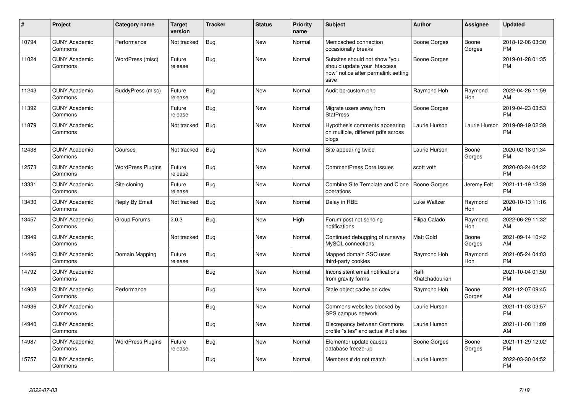| #     | Project                         | Category name            | <b>Target</b><br>version | <b>Tracker</b> | <b>Status</b> | <b>Priority</b><br>name | <b>Subject</b>                                                                                               | <b>Author</b>           | <b>Assignee</b> | <b>Updated</b>                |
|-------|---------------------------------|--------------------------|--------------------------|----------------|---------------|-------------------------|--------------------------------------------------------------------------------------------------------------|-------------------------|-----------------|-------------------------------|
| 10794 | <b>CUNY Academic</b><br>Commons | Performance              | Not tracked              | Bug            | <b>New</b>    | Normal                  | Memcached connection<br>occasionally breaks                                                                  | Boone Gorges            | Boone<br>Gorges | 2018-12-06 03:30<br><b>PM</b> |
| 11024 | <b>CUNY Academic</b><br>Commons | WordPress (misc)         | Future<br>release        | <b>Bug</b>     | <b>New</b>    | Normal                  | Subsites should not show "you<br>should update your .htaccess<br>now" notice after permalink setting<br>save | Boone Gorges            |                 | 2019-01-28 01:35<br><b>PM</b> |
| 11243 | <b>CUNY Academic</b><br>Commons | BuddyPress (misc)        | Future<br>release        | Bug            | New           | Normal                  | Audit bp-custom.php                                                                                          | Raymond Hoh             | Raymond<br>Hoh  | 2022-04-26 11:59<br>AM        |
| 11392 | <b>CUNY Academic</b><br>Commons |                          | Future<br>release        | <b>Bug</b>     | <b>New</b>    | Normal                  | Migrate users away from<br><b>StatPress</b>                                                                  | Boone Gorges            |                 | 2019-04-23 03:53<br><b>PM</b> |
| 11879 | <b>CUNY Academic</b><br>Commons |                          | Not tracked              | Bug            | <b>New</b>    | Normal                  | Hypothesis comments appearing<br>on multiple, different pdfs across<br>blogs                                 | Laurie Hurson           | Laurie Hurson   | 2019-09-19 02:39<br><b>PM</b> |
| 12438 | <b>CUNY Academic</b><br>Commons | Courses                  | Not tracked              | <b>Bug</b>     | <b>New</b>    | Normal                  | Site appearing twice                                                                                         | Laurie Hurson           | Boone<br>Gorges | 2020-02-18 01:34<br><b>PM</b> |
| 12573 | <b>CUNY Academic</b><br>Commons | <b>WordPress Plugins</b> | Future<br>release        | <b>Bug</b>     | <b>New</b>    | Normal                  | <b>CommentPress Core Issues</b>                                                                              | scott voth              |                 | 2020-03-24 04:32<br><b>PM</b> |
| 13331 | <b>CUNY Academic</b><br>Commons | Site cloning             | Future<br>release        | <b>Bug</b>     | New           | Normal                  | Combine Site Template and Clone<br>operations                                                                | <b>Boone Gorges</b>     | Jeremy Felt     | 2021-11-19 12:39<br><b>PM</b> |
| 13430 | <b>CUNY Academic</b><br>Commons | Reply By Email           | Not tracked              | <b>Bug</b>     | <b>New</b>    | Normal                  | Delay in RBE                                                                                                 | Luke Waltzer            | Raymond<br>Hoh  | 2020-10-13 11:16<br>AM        |
| 13457 | <b>CUNY Academic</b><br>Commons | Group Forums             | 2.0.3                    | Bug            | <b>New</b>    | High                    | Forum post not sending<br>notifications                                                                      | Filipa Calado           | Raymond<br>Hoh  | 2022-06-29 11:32<br>AM        |
| 13949 | <b>CUNY Academic</b><br>Commons |                          | Not tracked              | <b>Bug</b>     | <b>New</b>    | Normal                  | Continued debugging of runaway<br>MySQL connections                                                          | <b>Matt Gold</b>        | Boone<br>Gorges | 2021-09-14 10:42<br>AM        |
| 14496 | <b>CUNY Academic</b><br>Commons | Domain Mapping           | Future<br>release        | <b>Bug</b>     | <b>New</b>    | Normal                  | Mapped domain SSO uses<br>third-party cookies                                                                | Raymond Hoh             | Raymond<br>Hoh  | 2021-05-24 04:03<br><b>PM</b> |
| 14792 | <b>CUNY Academic</b><br>Commons |                          |                          | <b>Bug</b>     | <b>New</b>    | Normal                  | Inconsistent email notifications<br>from gravity forms                                                       | Raffi<br>Khatchadourian |                 | 2021-10-04 01:50<br><b>PM</b> |
| 14908 | <b>CUNY Academic</b><br>Commons | Performance              |                          | Bug            | <b>New</b>    | Normal                  | Stale object cache on cdev                                                                                   | Raymond Hoh             | Boone<br>Gorges | 2021-12-07 09:45<br>AM        |
| 14936 | <b>CUNY Academic</b><br>Commons |                          |                          | <b>Bug</b>     | <b>New</b>    | Normal                  | Commons websites blocked by<br>SPS campus network                                                            | Laurie Hurson           |                 | 2021-11-03 03:57<br><b>PM</b> |
| 14940 | <b>CUNY Academic</b><br>Commons |                          |                          | Bug            | <b>New</b>    | Normal                  | Discrepancy between Commons<br>profile "sites" and actual # of sites                                         | Laurie Hurson           |                 | 2021-11-08 11:09<br>AM        |
| 14987 | <b>CUNY Academic</b><br>Commons | <b>WordPress Plugins</b> | Future<br>release        | Bug            | <b>New</b>    | Normal                  | Elementor update causes<br>database freeze-up                                                                | Boone Gorges            | Boone<br>Gorges | 2021-11-29 12:02<br><b>PM</b> |
| 15757 | <b>CUNY Academic</b><br>Commons |                          |                          | <b>Bug</b>     | <b>New</b>    | Normal                  | Members # do not match                                                                                       | Laurie Hurson           |                 | 2022-03-30 04:52<br><b>PM</b> |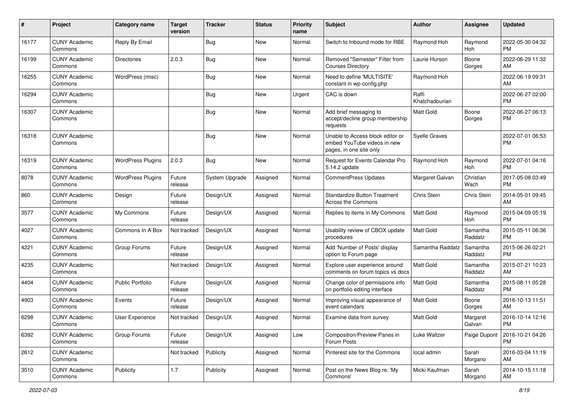| #     | Project                         | <b>Category name</b>     | <b>Target</b><br>version | <b>Tracker</b> | <b>Status</b> | Priority<br>name | <b>Subject</b>                                                                             | Author                  | <b>Assignee</b>     | <b>Updated</b>                |
|-------|---------------------------------|--------------------------|--------------------------|----------------|---------------|------------------|--------------------------------------------------------------------------------------------|-------------------------|---------------------|-------------------------------|
| 16177 | <b>CUNY Academic</b><br>Commons | Reply By Email           |                          | Bug            | <b>New</b>    | Normal           | Switch to Inbound mode for RBE                                                             | Raymond Hoh             | Raymond<br>Hoh      | 2022-05-30 04:32<br><b>PM</b> |
| 16199 | <b>CUNY Academic</b><br>Commons | <b>Directories</b>       | 2.0.3                    | <b>Bug</b>     | New           | Normal           | Removed "Semester" Filter from<br><b>Courses Directory</b>                                 | Laurie Hurson           | Boone<br>Gorges     | 2022-06-29 11:32<br>AM        |
| 16255 | <b>CUNY Academic</b><br>Commons | WordPress (misc)         |                          | <b>Bug</b>     | <b>New</b>    | Normal           | Need to define 'MULTISITE'<br>constant in wp-config.php                                    | Raymond Hoh             |                     | 2022-06-19 09:31<br>AM        |
| 16294 | <b>CUNY Academic</b><br>Commons |                          |                          | Bug            | New           | Urgent           | CAC is down                                                                                | Raffi<br>Khatchadourian |                     | 2022-06-27 02:00<br><b>PM</b> |
| 16307 | <b>CUNY Academic</b><br>Commons |                          |                          | <b>Bug</b>     | <b>New</b>    | Normal           | Add brief messaging to<br>accept/decline group membership<br>requests                      | <b>Matt Gold</b>        | Boone<br>Gorges     | 2022-06-27 06:13<br><b>PM</b> |
| 16318 | <b>CUNY Academic</b><br>Commons |                          |                          | Bug            | New           | Normal           | Unable to Access block editor or<br>embed YouTube videos in new<br>pages, in one site only | <b>Syelle Graves</b>    |                     | 2022-07-01 06:53<br><b>PM</b> |
| 16319 | <b>CUNY Academic</b><br>Commons | <b>WordPress Plugins</b> | 2.0.3                    | Bug            | <b>New</b>    | Normal           | Request for Events Calendar Pro<br>5.14.2 update                                           | Raymond Hoh             | Raymond<br>Hoh      | 2022-07-01 04:16<br><b>PM</b> |
| 8078  | <b>CUNY Academic</b><br>Commons | <b>WordPress Plugins</b> | Future<br>release        | System Upgrade | Assigned      | Normal           | <b>CommentPress Updates</b>                                                                | Margaret Galvan         | Christian<br>Wach   | 2017-05-08 03:49<br><b>PM</b> |
| 860   | <b>CUNY Academic</b><br>Commons | Design                   | Future<br>release        | Design/UX      | Assigned      | Normal           | <b>Standardize Button Treatment</b><br>Across the Commons                                  | Chris Stein             | Chris Stein         | 2014-05-01 09:45<br>AM        |
| 3577  | <b>CUNY Academic</b><br>Commons | My Commons               | Future<br>release        | Design/UX      | Assigned      | Normal           | Replies to items in My Commons                                                             | <b>Matt Gold</b>        | Raymond<br>Hoh      | 2015-04-09 05:19<br><b>PM</b> |
| 4027  | <b>CUNY Academic</b><br>Commons | Commons In A Box         | Not tracked              | Design/UX      | Assigned      | Normal           | Usability review of CBOX update<br>procedures                                              | <b>Matt Gold</b>        | Samantha<br>Raddatz | 2015-05-11 06:36<br><b>PM</b> |
| 4221  | <b>CUNY Academic</b><br>Commons | Group Forums             | Future<br>release        | Design/UX      | Assigned      | Normal           | Add 'Number of Posts' display<br>option to Forum page                                      | Samantha Raddatz        | Samantha<br>Raddatz | 2015-06-26 02:21<br><b>PM</b> |
| 4235  | <b>CUNY Academic</b><br>Commons |                          | Not tracked              | Design/UX      | Assigned      | Normal           | Explore user experience around<br>comments on forum topics vs docs                         | <b>Matt Gold</b>        | Samantha<br>Raddatz | 2015-07-21 10:23<br>AM        |
| 4404  | <b>CUNY Academic</b><br>Commons | Public Portfolio         | Future<br>release        | Design/UX      | Assigned      | Normal           | Change color of permissions info<br>on portfolio editing interface                         | <b>Matt Gold</b>        | Samantha<br>Raddatz | 2015-08-11 05:28<br><b>PM</b> |
| 4903  | <b>CUNY Academic</b><br>Commons | Events                   | Future<br>release        | Design/UX      | Assigned      | Normal           | Improving visual appearance of<br>event calendars                                          | Matt Gold               | Boone<br>Gorges     | 2016-10-13 11:51<br>AM        |
| 6298  | <b>CUNY Academic</b><br>Commons | <b>User Experience</b>   | Not tracked              | Design/UX      | Assigned      | Normal           | Examine data from survey                                                                   | Matt Gold               | Margaret<br>Galvan  | 2016-10-14 12:16<br>PM        |
| 6392  | <b>CUNY Academic</b><br>Commons | Group Forums             | Future<br>release        | Design/UX      | Assigned      | Low              | Composition/Preview Panes in<br>Forum Posts                                                | Luke Waltzer            | Paige Dupont        | 2016-10-21 04:26<br><b>PM</b> |
| 2612  | <b>CUNY Academic</b><br>Commons |                          | Not tracked              | Publicity      | Assigned      | Normal           | Pinterest site for the Commons                                                             | local admin             | Sarah<br>Morgano    | 2016-03-04 11:19<br>AM        |
| 3510  | <b>CUNY Academic</b><br>Commons | Publicity                | 1.7                      | Publicity      | Assigned      | Normal           | Post on the News Blog re: 'My<br>Commons'                                                  | Micki Kaufman           | Sarah<br>Morgano    | 2014-10-15 11:18<br>AM        |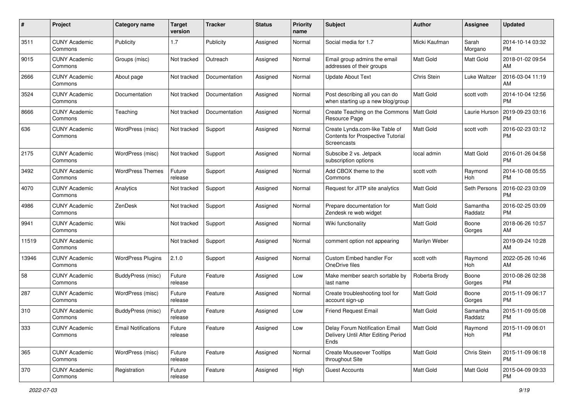| #     | Project                         | Category name              | <b>Target</b><br>version | <b>Tracker</b> | <b>Status</b> | <b>Priority</b><br>name | <b>Subject</b>                                                                            | Author           | <b>Assignee</b>     | <b>Updated</b>                |
|-------|---------------------------------|----------------------------|--------------------------|----------------|---------------|-------------------------|-------------------------------------------------------------------------------------------|------------------|---------------------|-------------------------------|
| 3511  | <b>CUNY Academic</b><br>Commons | Publicity                  | 1.7                      | Publicity      | Assigned      | Normal                  | Social media for 1.7                                                                      | Micki Kaufman    | Sarah<br>Morgano    | 2014-10-14 03:32<br><b>PM</b> |
| 9015  | <b>CUNY Academic</b><br>Commons | Groups (misc)              | Not tracked              | Outreach       | Assigned      | Normal                  | Email group admins the email<br>addresses of their groups                                 | <b>Matt Gold</b> | Matt Gold           | 2018-01-02 09:54<br>AM        |
| 2666  | <b>CUNY Academic</b><br>Commons | About page                 | Not tracked              | Documentation  | Assigned      | Normal                  | <b>Update About Text</b>                                                                  | Chris Stein      | Luke Waltzer        | 2016-03-04 11:19<br>AM        |
| 3524  | <b>CUNY Academic</b><br>Commons | Documentation              | Not tracked              | Documentation  | Assigned      | Normal                  | Post describing all you can do<br>when starting up a new blog/group                       | Matt Gold        | scott voth          | 2014-10-04 12:56<br><b>PM</b> |
| 8666  | <b>CUNY Academic</b><br>Commons | Teaching                   | Not tracked              | Documentation  | Assigned      | Normal                  | Create Teaching on the Commons<br>Resource Page                                           | <b>Matt Gold</b> | Laurie Hurson       | 2019-09-23 03:16<br><b>PM</b> |
| 636   | <b>CUNY Academic</b><br>Commons | WordPress (misc)           | Not tracked              | Support        | Assigned      | Normal                  | Create Lynda.com-like Table of<br>Contents for Prospective Tutorial<br><b>Screencasts</b> | <b>Matt Gold</b> | scott voth          | 2016-02-23 03:12<br><b>PM</b> |
| 2175  | <b>CUNY Academic</b><br>Commons | WordPress (misc)           | Not tracked              | Support        | Assigned      | Normal                  | Subscibe 2 vs. Jetpack<br>subscription options                                            | local admin      | Matt Gold           | 2016-01-26 04:58<br><b>PM</b> |
| 3492  | <b>CUNY Academic</b><br>Commons | <b>WordPress Themes</b>    | Future<br>release        | Support        | Assigned      | Normal                  | Add CBOX theme to the<br>Commons                                                          | scott voth       | Raymond<br>Hoh      | 2014-10-08 05:55<br><b>PM</b> |
| 4070  | <b>CUNY Academic</b><br>Commons | Analytics                  | Not tracked              | Support        | Assigned      | Normal                  | Request for JITP site analytics                                                           | <b>Matt Gold</b> | Seth Persons        | 2016-02-23 03:09<br><b>PM</b> |
| 4986  | <b>CUNY Academic</b><br>Commons | ZenDesk                    | Not tracked              | Support        | Assigned      | Normal                  | Prepare documentation for<br>Zendesk re web widget                                        | Matt Gold        | Samantha<br>Raddatz | 2016-02-25 03:09<br><b>PM</b> |
| 9941  | <b>CUNY Academic</b><br>Commons | Wiki                       | Not tracked              | Support        | Assigned      | Normal                  | Wiki functionality                                                                        | Matt Gold        | Boone<br>Gorges     | 2018-06-26 10:57<br>AM        |
| 11519 | <b>CUNY Academic</b><br>Commons |                            | Not tracked              | Support        | Assigned      | Normal                  | comment option not appearing                                                              | Marilyn Weber    |                     | 2019-09-24 10:28<br>AM        |
| 13946 | <b>CUNY Academic</b><br>Commons | <b>WordPress Plugins</b>   | 2.1.0                    | Support        | Assigned      | Normal                  | Custom Embed handler For<br>OneDrive files                                                | scott voth       | Raymond<br>Hoh      | 2022-05-26 10:46<br>AM        |
| 58    | <b>CUNY Academic</b><br>Commons | <b>BuddyPress (misc)</b>   | Future<br>release        | Feature        | Assigned      | Low                     | Make member search sortable by<br>last name                                               | Roberta Brody    | Boone<br>Gorges     | 2010-08-26 02:38<br><b>PM</b> |
| 287   | <b>CUNY Academic</b><br>Commons | WordPress (misc)           | Future<br>release        | Feature        | Assigned      | Normal                  | Create troubleshooting tool for<br>account sign-up                                        | Matt Gold        | Boone<br>Gorges     | 2015-11-09 06:17<br><b>PM</b> |
| 310   | <b>CUNY Academic</b><br>Commons | BuddyPress (misc)          | Future<br>release        | Feature        | Assigned      | Low                     | Friend Request Email                                                                      | <b>Matt Gold</b> | Samantha<br>Raddatz | 2015-11-09 05:08<br><b>PM</b> |
| 333   | <b>CUNY Academic</b><br>Commons | <b>Email Notifications</b> | Future<br>release        | Feature        | Assigned      | Low                     | Delay Forum Notification Email<br>Delivery Until After Editing Period<br>Ends             | Matt Gold        | Raymond<br>Hoh      | 2015-11-09 06:01<br><b>PM</b> |
| 365   | <b>CUNY Academic</b><br>Commons | WordPress (misc)           | Future<br>release        | Feature        | Assigned      | Normal                  | <b>Create Mouseover Tooltips</b><br>throughout Site                                       | Matt Gold        | Chris Stein         | 2015-11-09 06:18<br><b>PM</b> |
| 370   | <b>CUNY Academic</b><br>Commons | Registration               | Future<br>release        | Feature        | Assigned      | High                    | <b>Guest Accounts</b>                                                                     | Matt Gold        | Matt Gold           | 2015-04-09 09:33<br><b>PM</b> |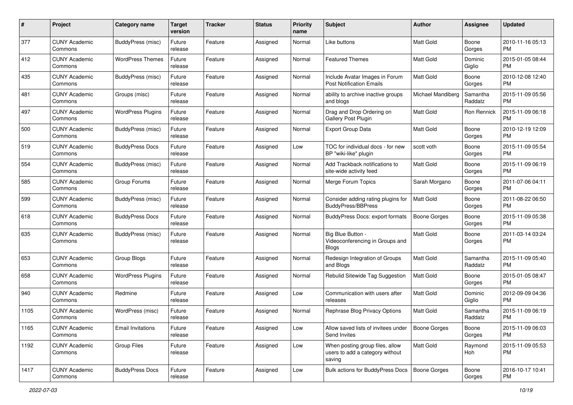| #    | Project                         | <b>Category name</b>     | <b>Target</b><br>version | Tracker | <b>Status</b> | <b>Priority</b><br>name | <b>Subject</b>                                                               | Author            | <b>Assignee</b>     | <b>Updated</b>                |
|------|---------------------------------|--------------------------|--------------------------|---------|---------------|-------------------------|------------------------------------------------------------------------------|-------------------|---------------------|-------------------------------|
| 377  | <b>CUNY Academic</b><br>Commons | BuddyPress (misc)        | Future<br>release        | Feature | Assigned      | Normal                  | Like buttons                                                                 | Matt Gold         | Boone<br>Gorges     | 2010-11-16 05:13<br>PM.       |
| 412  | <b>CUNY Academic</b><br>Commons | <b>WordPress Themes</b>  | Future<br>release        | Feature | Assigned      | Normal                  | <b>Featured Themes</b>                                                       | Matt Gold         | Dominic<br>Giglio   | 2015-01-05 08:44<br><b>PM</b> |
| 435  | <b>CUNY Academic</b><br>Commons | <b>BuddyPress (misc)</b> | Future<br>release        | Feature | Assigned      | Normal                  | Include Avatar Images in Forum<br><b>Post Notification Emails</b>            | Matt Gold         | Boone<br>Gorges     | 2010-12-08 12:40<br><b>PM</b> |
| 481  | <b>CUNY Academic</b><br>Commons | Groups (misc)            | Future<br>release        | Feature | Assigned      | Normal                  | ability to archive inactive groups<br>and blogs                              | Michael Mandiberg | Samantha<br>Raddatz | 2015-11-09 05:56<br><b>PM</b> |
| 497  | <b>CUNY Academic</b><br>Commons | <b>WordPress Plugins</b> | Future<br>release        | Feature | Assigned      | Normal                  | Drag and Drop Ordering on<br>Gallery Post Plugin                             | <b>Matt Gold</b>  | <b>Ron Rennick</b>  | 2015-11-09 06:18<br><b>PM</b> |
| 500  | <b>CUNY Academic</b><br>Commons | BuddyPress (misc)        | Future<br>release        | Feature | Assigned      | Normal                  | Export Group Data                                                            | <b>Matt Gold</b>  | Boone<br>Gorges     | 2010-12-19 12:09<br><b>PM</b> |
| 519  | <b>CUNY Academic</b><br>Commons | <b>BuddyPress Docs</b>   | Future<br>release        | Feature | Assigned      | Low                     | TOC for individual docs - for new<br>BP "wiki-like" plugin                   | scott voth        | Boone<br>Gorges     | 2015-11-09 05:54<br><b>PM</b> |
| 554  | <b>CUNY Academic</b><br>Commons | BuddyPress (misc)        | Future<br>release        | Feature | Assigned      | Normal                  | Add Trackback notifications to<br>site-wide activity feed                    | Matt Gold         | Boone<br>Gorges     | 2015-11-09 06:19<br><b>PM</b> |
| 585  | <b>CUNY Academic</b><br>Commons | Group Forums             | Future<br>release        | Feature | Assigned      | Normal                  | Merge Forum Topics                                                           | Sarah Morgano     | Boone<br>Gorges     | 2011-07-06 04:11<br><b>PM</b> |
| 599  | <b>CUNY Academic</b><br>Commons | <b>BuddyPress (misc)</b> | Future<br>release        | Feature | Assigned      | Normal                  | Consider adding rating plugins for<br><b>BuddyPress/BBPress</b>              | Matt Gold         | Boone<br>Gorges     | 2011-08-22 06:50<br><b>PM</b> |
| 618  | <b>CUNY Academic</b><br>Commons | <b>BuddyPress Docs</b>   | Future<br>release        | Feature | Assigned      | Normal                  | <b>BuddyPress Docs: export formats</b>                                       | Boone Gorges      | Boone<br>Gorges     | 2015-11-09 05:38<br><b>PM</b> |
| 635  | <b>CUNY Academic</b><br>Commons | BuddyPress (misc)        | Future<br>release        | Feature | Assigned      | Normal                  | Big Blue Button -<br>Videoconferencing in Groups and<br><b>Blogs</b>         | <b>Matt Gold</b>  | Boone<br>Gorges     | 2011-03-14 03:24<br><b>PM</b> |
| 653  | <b>CUNY Academic</b><br>Commons | Group Blogs              | Future<br>release        | Feature | Assigned      | Normal                  | Redesign Integration of Groups<br>and Blogs                                  | Matt Gold         | Samantha<br>Raddatz | 2015-11-09 05:40<br><b>PM</b> |
| 658  | <b>CUNY Academic</b><br>Commons | <b>WordPress Plugins</b> | Future<br>release        | Feature | Assigned      | Normal                  | Rebulid Sitewide Tag Suggestion                                              | Matt Gold         | Boone<br>Gorges     | 2015-01-05 08:47<br><b>PM</b> |
| 940  | <b>CUNY Academic</b><br>Commons | Redmine                  | Future<br>release        | Feature | Assigned      | Low                     | Communication with users after<br>releases                                   | Matt Gold         | Dominic<br>Giglio   | 2012-09-09 04:36<br><b>PM</b> |
| 1105 | <b>CUNY Academic</b><br>Commons | WordPress (misc)         | Future<br>release        | Feature | Assigned      | Normal                  | Rephrase Blog Privacy Options                                                | <b>Matt Gold</b>  | Samantha<br>Raddatz | 2015-11-09 06:19<br><b>PM</b> |
| 1165 | <b>CUNY Academic</b><br>Commons | <b>Email Invitations</b> | Future<br>release        | Feature | Assigned      | Low                     | Allow saved lists of invitees under<br>Send Invites                          | Boone Gorges      | Boone<br>Gorges     | 2015-11-09 06:03<br><b>PM</b> |
| 1192 | <b>CUNY Academic</b><br>Commons | Group Files              | Future<br>release        | Feature | Assigned      | Low                     | When posting group files, allow<br>users to add a category without<br>saving | Matt Gold         | Raymond<br>Hoh      | 2015-11-09 05:53<br>PM        |
| 1417 | <b>CUNY Academic</b><br>Commons | <b>BuddyPress Docs</b>   | Future<br>release        | Feature | Assigned      | Low                     | Bulk actions for BuddyPress Docs                                             | Boone Gorges      | Boone<br>Gorges     | 2016-10-17 10:41<br>PM        |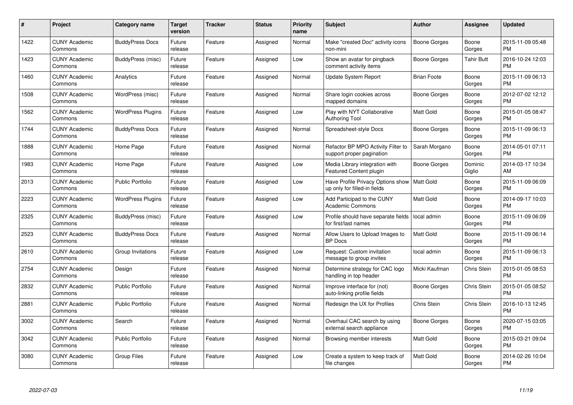| #    | Project                         | <b>Category name</b>     | Target<br>version | <b>Tracker</b> | <b>Status</b> | Priority<br>name | <b>Subject</b>                                                    | <b>Author</b>      | <b>Assignee</b>   | <b>Updated</b>                |
|------|---------------------------------|--------------------------|-------------------|----------------|---------------|------------------|-------------------------------------------------------------------|--------------------|-------------------|-------------------------------|
| 1422 | <b>CUNY Academic</b><br>Commons | <b>BuddyPress Docs</b>   | Future<br>release | Feature        | Assigned      | Normal           | Make "created Doc" activity icons<br>non-mini                     | Boone Gorges       | Boone<br>Gorges   | 2015-11-09 05:48<br><b>PM</b> |
| 1423 | <b>CUNY Academic</b><br>Commons | BuddyPress (misc)        | Future<br>release | Feature        | Assigned      | Low              | Show an avatar for pingback<br>comment activity items             | Boone Gorges       | Tahir Butt        | 2016-10-24 12:03<br><b>PM</b> |
| 1460 | <b>CUNY Academic</b><br>Commons | Analytics                | Future<br>release | Feature        | Assigned      | Normal           | Update System Report                                              | <b>Brian Foote</b> | Boone<br>Gorges   | 2015-11-09 06:13<br><b>PM</b> |
| 1508 | <b>CUNY Academic</b><br>Commons | WordPress (misc)         | Future<br>release | Feature        | Assigned      | Normal           | Share login cookies across<br>mapped domains                      | Boone Gorges       | Boone<br>Gorges   | 2012-07-02 12:12<br><b>PM</b> |
| 1562 | <b>CUNY Academic</b><br>Commons | <b>WordPress Plugins</b> | Future<br>release | Feature        | Assigned      | Low              | Play with NYT Collaborative<br><b>Authoring Tool</b>              | Matt Gold          | Boone<br>Gorges   | 2015-01-05 08:47<br><b>PM</b> |
| 1744 | <b>CUNY Academic</b><br>Commons | <b>BuddyPress Docs</b>   | Future<br>release | Feature        | Assigned      | Normal           | Spreadsheet-style Docs                                            | Boone Gorges       | Boone<br>Gorges   | 2015-11-09 06:13<br><b>PM</b> |
| 1888 | <b>CUNY Academic</b><br>Commons | Home Page                | Future<br>release | Feature        | Assigned      | Normal           | Refactor BP MPO Activity Filter to<br>support proper pagination   | Sarah Morgano      | Boone<br>Gorges   | 2014-05-01 07:11<br><b>PM</b> |
| 1983 | <b>CUNY Academic</b><br>Commons | Home Page                | Future<br>release | Feature        | Assigned      | Low              | Media Library integration with<br><b>Featured Content plugin</b>  | Boone Gorges       | Dominic<br>Giglio | 2014-03-17 10:34<br>AM        |
| 2013 | <b>CUNY Academic</b><br>Commons | <b>Public Portfolio</b>  | Future<br>release | Feature        | Assigned      | Low              | Have Profile Privacy Options show<br>up only for filled-in fields | Matt Gold          | Boone<br>Gorges   | 2015-11-09 06:09<br><b>PM</b> |
| 2223 | <b>CUNY Academic</b><br>Commons | <b>WordPress Plugins</b> | Future<br>release | Feature        | Assigned      | Low              | Add Participad to the CUNY<br><b>Academic Commons</b>             | <b>Matt Gold</b>   | Boone<br>Gorges   | 2014-09-17 10:03<br>PM        |
| 2325 | <b>CUNY Academic</b><br>Commons | BuddyPress (misc)        | Future<br>release | Feature        | Assigned      | Low              | Profile should have separate fields<br>for first/last names       | local admin        | Boone<br>Gorges   | 2015-11-09 06:09<br><b>PM</b> |
| 2523 | <b>CUNY Academic</b><br>Commons | <b>BuddyPress Docs</b>   | Future<br>release | Feature        | Assigned      | Normal           | Allow Users to Upload Images to<br><b>BP</b> Docs                 | Matt Gold          | Boone<br>Gorges   | 2015-11-09 06:14<br><b>PM</b> |
| 2610 | <b>CUNY Academic</b><br>Commons | Group Invitations        | Future<br>release | Feature        | Assigned      | Low              | Request: Custom invitation<br>message to group invites            | local admin        | Boone<br>Gorges   | 2015-11-09 06:13<br>PM.       |
| 2754 | <b>CUNY Academic</b><br>Commons | Design                   | Future<br>release | Feature        | Assigned      | Normal           | Determine strategy for CAC logo<br>handling in top header         | Micki Kaufman      | Chris Stein       | 2015-01-05 08:53<br><b>PM</b> |
| 2832 | <b>CUNY Academic</b><br>Commons | <b>Public Portfolio</b>  | Future<br>release | Feature        | Assigned      | Normal           | Improve interface for (not)<br>auto-linking profile fields        | Boone Gorges       | Chris Stein       | 2015-01-05 08:52<br><b>PM</b> |
| 2881 | <b>CUNY Academic</b><br>Commons | <b>Public Portfolio</b>  | Future<br>release | Feature        | Assigned      | Normal           | Redesign the UX for Profiles                                      | Chris Stein        | Chris Stein       | 2016-10-13 12:45<br><b>PM</b> |
| 3002 | <b>CUNY Academic</b><br>Commons | Search                   | Future<br>release | Feature        | Assigned      | Normal           | Overhaul CAC search by using<br>external search appliance         | Boone Gorges       | Boone<br>Gorges   | 2020-07-15 03:05<br><b>PM</b> |
| 3042 | <b>CUNY Academic</b><br>Commons | Public Portfolio         | Future<br>release | Feature        | Assigned      | Normal           | Browsing member interests                                         | Matt Gold          | Boone<br>Gorges   | 2015-03-21 09:04<br><b>PM</b> |
| 3080 | <b>CUNY Academic</b><br>Commons | Group Files              | Future<br>release | Feature        | Assigned      | Low              | Create a system to keep track of<br>file changes                  | Matt Gold          | Boone<br>Gorges   | 2014-02-26 10:04<br>PM        |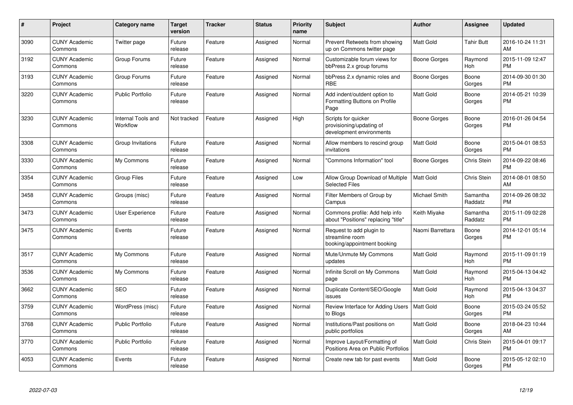| #    | Project                         | <b>Category name</b>           | <b>Target</b><br>version | <b>Tracker</b> | <b>Status</b> | <b>Priority</b><br>name | <b>Subject</b>                                                              | <b>Author</b>    | Assignee            | <b>Updated</b>                |
|------|---------------------------------|--------------------------------|--------------------------|----------------|---------------|-------------------------|-----------------------------------------------------------------------------|------------------|---------------------|-------------------------------|
| 3090 | <b>CUNY Academic</b><br>Commons | Twitter page                   | Future<br>release        | Feature        | Assigned      | Normal                  | Prevent Retweets from showing<br>up on Commons twitter page                 | <b>Matt Gold</b> | <b>Tahir Butt</b>   | 2016-10-24 11:31<br>AM        |
| 3192 | <b>CUNY Academic</b><br>Commons | Group Forums                   | Future<br>release        | Feature        | Assigned      | Normal                  | Customizable forum views for<br>bbPress 2.x group forums                    | Boone Gorges     | Raymond<br>Hoh      | 2015-11-09 12:47<br><b>PM</b> |
| 3193 | <b>CUNY Academic</b><br>Commons | Group Forums                   | Future<br>release        | Feature        | Assigned      | Normal                  | bbPress 2.x dynamic roles and<br><b>RBE</b>                                 | Boone Gorges     | Boone<br>Gorges     | 2014-09-30 01:30<br><b>PM</b> |
| 3220 | <b>CUNY Academic</b><br>Commons | <b>Public Portfolio</b>        | Future<br>release        | Feature        | Assigned      | Normal                  | Add indent/outdent option to<br>Formatting Buttons on Profile<br>Page       | Matt Gold        | Boone<br>Gorges     | 2014-05-21 10:39<br><b>PM</b> |
| 3230 | <b>CUNY Academic</b><br>Commons | Internal Tools and<br>Workflow | Not tracked              | Feature        | Assigned      | High                    | Scripts for quicker<br>provisioning/updating of<br>development environments | Boone Gorges     | Boone<br>Gorges     | 2016-01-26 04:54<br><b>PM</b> |
| 3308 | <b>CUNY Academic</b><br>Commons | Group Invitations              | Future<br>release        | Feature        | Assigned      | Normal                  | Allow members to rescind group<br>invitations                               | Matt Gold        | Boone<br>Gorges     | 2015-04-01 08:53<br><b>PM</b> |
| 3330 | <b>CUNY Academic</b><br>Commons | My Commons                     | Future<br>release        | Feature        | Assigned      | Normal                  | "Commons Information" tool                                                  | Boone Gorges     | Chris Stein         | 2014-09-22 08:46<br><b>PM</b> |
| 3354 | <b>CUNY Academic</b><br>Commons | <b>Group Files</b>             | Future<br>release        | Feature        | Assigned      | Low                     | Allow Group Download of Multiple<br><b>Selected Files</b>                   | Matt Gold        | Chris Stein         | 2014-08-01 08:50<br>AM        |
| 3458 | <b>CUNY Academic</b><br>Commons | Groups (misc)                  | Future<br>release        | Feature        | Assigned      | Normal                  | Filter Members of Group by<br>Campus                                        | Michael Smith    | Samantha<br>Raddatz | 2014-09-26 08:32<br><b>PM</b> |
| 3473 | <b>CUNY Academic</b><br>Commons | User Experience                | Future<br>release        | Feature        | Assigned      | Normal                  | Commons profile: Add help info<br>about "Positions" replacing "title"       | Keith Miyake     | Samantha<br>Raddatz | 2015-11-09 02:28<br><b>PM</b> |
| 3475 | <b>CUNY Academic</b><br>Commons | Events                         | Future<br>release        | Feature        | Assigned      | Normal                  | Request to add plugin to<br>streamline room<br>booking/appointment booking  | Naomi Barrettara | Boone<br>Gorges     | 2014-12-01 05:14<br><b>PM</b> |
| 3517 | <b>CUNY Academic</b><br>Commons | My Commons                     | Future<br>release        | Feature        | Assigned      | Normal                  | Mute/Unmute My Commons<br>updates                                           | Matt Gold        | Raymond<br>Hoh      | 2015-11-09 01:19<br><b>PM</b> |
| 3536 | <b>CUNY Academic</b><br>Commons | My Commons                     | Future<br>release        | Feature        | Assigned      | Normal                  | Infinite Scroll on My Commons<br>page                                       | <b>Matt Gold</b> | Raymond<br>Hoh      | 2015-04-13 04:42<br><b>PM</b> |
| 3662 | <b>CUNY Academic</b><br>Commons | <b>SEO</b>                     | Future<br>release        | Feature        | Assigned      | Normal                  | Duplicate Content/SEO/Google<br>issues                                      | Matt Gold        | Raymond<br>Hoh      | 2015-04-13 04:37<br><b>PM</b> |
| 3759 | <b>CUNY Academic</b><br>Commons | WordPress (misc)               | Future<br>release        | Feature        | Assigned      | Normal                  | Review Interface for Adding Users<br>to Blogs                               | <b>Matt Gold</b> | Boone<br>Gorges     | 2015-03-24 05:52<br><b>PM</b> |
| 3768 | <b>CUNY Academic</b><br>Commons | <b>Public Portfolio</b>        | Future<br>release        | Feature        | Assigned      | Normal                  | Institutions/Past positions on<br>public portfolios                         | Matt Gold        | Boone<br>Gorges     | 2018-04-23 10:44<br>AM        |
| 3770 | <b>CUNY Academic</b><br>Commons | <b>Public Portfolio</b>        | Future<br>release        | Feature        | Assigned      | Normal                  | Improve Layout/Formatting of<br>Positions Area on Public Portfolios         | Matt Gold        | Chris Stein         | 2015-04-01 09:17<br><b>PM</b> |
| 4053 | <b>CUNY Academic</b><br>Commons | Events                         | Future<br>release        | Feature        | Assigned      | Normal                  | Create new tab for past events                                              | Matt Gold        | Boone<br>Gorges     | 2015-05-12 02:10<br><b>PM</b> |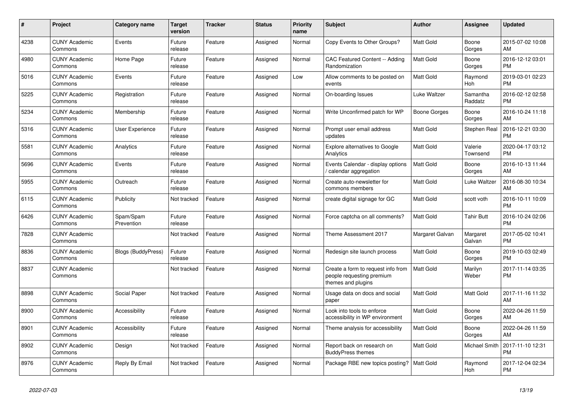| #    | <b>Project</b>                  | Category name             | <b>Target</b><br>version | <b>Tracker</b> | <b>Status</b> | <b>Priority</b><br>name | <b>Subject</b>                                                                        | <b>Author</b>    | Assignee            | <b>Updated</b>                |
|------|---------------------------------|---------------------------|--------------------------|----------------|---------------|-------------------------|---------------------------------------------------------------------------------------|------------------|---------------------|-------------------------------|
| 4238 | <b>CUNY Academic</b><br>Commons | Events                    | Future<br>release        | Feature        | Assigned      | Normal                  | Copy Events to Other Groups?                                                          | <b>Matt Gold</b> | Boone<br>Gorges     | 2015-07-02 10:08<br>AM        |
| 4980 | <b>CUNY Academic</b><br>Commons | Home Page                 | Future<br>release        | Feature        | Assigned      | Normal                  | CAC Featured Content -- Adding<br>Randomization                                       | <b>Matt Gold</b> | Boone<br>Gorges     | 2016-12-12 03:01<br><b>PM</b> |
| 5016 | <b>CUNY Academic</b><br>Commons | Events                    | Future<br>release        | Feature        | Assigned      | Low                     | Allow comments to be posted on<br>events                                              | <b>Matt Gold</b> | Raymond<br>Hoh      | 2019-03-01 02:23<br><b>PM</b> |
| 5225 | <b>CUNY Academic</b><br>Commons | Registration              | Future<br>release        | Feature        | Assigned      | Normal                  | On-boarding Issues                                                                    | Luke Waltzer     | Samantha<br>Raddatz | 2016-02-12 02:58<br><b>PM</b> |
| 5234 | <b>CUNY Academic</b><br>Commons | Membership                | Future<br>release        | Feature        | Assigned      | Normal                  | Write Unconfirmed patch for WP                                                        | Boone Gorges     | Boone<br>Gorges     | 2016-10-24 11:18<br>AM        |
| 5316 | <b>CUNY Academic</b><br>Commons | User Experience           | Future<br>release        | Feature        | Assigned      | Normal                  | Prompt user email address<br>updates                                                  | Matt Gold        | Stephen Real        | 2016-12-21 03:30<br><b>PM</b> |
| 5581 | <b>CUNY Academic</b><br>Commons | Analytics                 | Future<br>release        | Feature        | Assigned      | Normal                  | <b>Explore alternatives to Google</b><br>Analytics                                    | <b>Matt Gold</b> | Valerie<br>Townsend | 2020-04-17 03:12<br><b>PM</b> |
| 5696 | <b>CUNY Academic</b><br>Commons | Events                    | Future<br>release        | Feature        | Assigned      | Normal                  | Events Calendar - display options<br>calendar aggregation /                           | <b>Matt Gold</b> | Boone<br>Gorges     | 2016-10-13 11:44<br>AM        |
| 5955 | <b>CUNY Academic</b><br>Commons | Outreach                  | Future<br>release        | Feature        | Assigned      | Normal                  | Create auto-newsletter for<br>commons members                                         | <b>Matt Gold</b> | Luke Waltzer        | 2016-08-30 10:34<br>AM        |
| 6115 | <b>CUNY Academic</b><br>Commons | Publicity                 | Not tracked              | Feature        | Assigned      | Normal                  | create digital signage for GC                                                         | Matt Gold        | scott voth          | 2016-10-11 10:09<br><b>PM</b> |
| 6426 | <b>CUNY Academic</b><br>Commons | Spam/Spam<br>Prevention   | Future<br>release        | Feature        | Assigned      | Normal                  | Force captcha on all comments?                                                        | <b>Matt Gold</b> | Tahir Butt          | 2016-10-24 02:06<br><b>PM</b> |
| 7828 | <b>CUNY Academic</b><br>Commons |                           | Not tracked              | Feature        | Assigned      | Normal                  | Theme Assessment 2017                                                                 | Margaret Galvan  | Margaret<br>Galvan  | 2017-05-02 10:41<br><b>PM</b> |
| 8836 | <b>CUNY Academic</b><br>Commons | <b>Blogs (BuddyPress)</b> | Future<br>release        | Feature        | Assigned      | Normal                  | Redesign site launch process                                                          | Matt Gold        | Boone<br>Gorges     | 2019-10-03 02:49<br><b>PM</b> |
| 8837 | <b>CUNY Academic</b><br>Commons |                           | Not tracked              | Feature        | Assigned      | Normal                  | Create a form to request info from<br>people requesting premium<br>themes and plugins | <b>Matt Gold</b> | Marilyn<br>Weber    | 2017-11-14 03:35<br><b>PM</b> |
| 8898 | <b>CUNY Academic</b><br>Commons | Social Paper              | Not tracked              | Feature        | Assigned      | Normal                  | Usage data on docs and social<br>paper                                                | <b>Matt Gold</b> | Matt Gold           | 2017-11-16 11:32<br>AM        |
| 8900 | <b>CUNY Academic</b><br>Commons | Accessibility             | Future<br>release        | Feature        | Assigned      | Normal                  | Look into tools to enforce<br>accessibility in WP environment                         | <b>Matt Gold</b> | Boone<br>Gorges     | 2022-04-26 11:59<br>AM        |
| 8901 | <b>CUNY Academic</b><br>Commons | Accessibility             | Future<br>release        | Feature        | Assigned      | Normal                  | Theme analysis for accessibility                                                      | <b>Matt Gold</b> | Boone<br>Gorges     | 2022-04-26 11:59<br>AM        |
| 8902 | <b>CUNY Academic</b><br>Commons | Design                    | Not tracked              | Feature        | Assigned      | Normal                  | Report back on research on<br><b>BuddyPress themes</b>                                | <b>Matt Gold</b> | Michael Smith       | 2017-11-10 12:31<br><b>PM</b> |
| 8976 | <b>CUNY Academic</b><br>Commons | Reply By Email            | Not tracked              | Feature        | Assigned      | Normal                  | Package RBE new topics posting?                                                       | Matt Gold        | Raymond<br>Hoh      | 2017-12-04 02:34<br><b>PM</b> |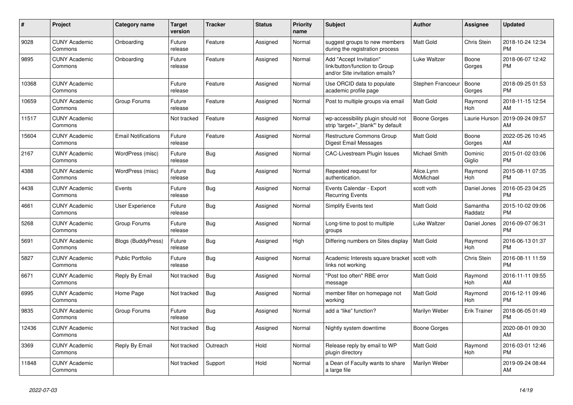| $\vert$ # | <b>Project</b>                  | Category name              | <b>Target</b><br>version | <b>Tracker</b> | <b>Status</b> | <b>Priority</b><br>name | <b>Subject</b>                                                                             | <b>Author</b>           | Assignee            | <b>Updated</b>                |
|-----------|---------------------------------|----------------------------|--------------------------|----------------|---------------|-------------------------|--------------------------------------------------------------------------------------------|-------------------------|---------------------|-------------------------------|
| 9028      | <b>CUNY Academic</b><br>Commons | Onboarding                 | Future<br>release        | Feature        | Assigned      | Normal                  | suggest groups to new members<br>during the registration process                           | <b>Matt Gold</b>        | Chris Stein         | 2018-10-24 12:34<br><b>PM</b> |
| 9895      | <b>CUNY Academic</b><br>Commons | Onboarding                 | Future<br>release        | Feature        | Assigned      | Normal                  | Add "Accept Invitation"<br>link/button/function to Group<br>and/or Site invitation emails? | Luke Waltzer            | Boone<br>Gorges     | 2018-06-07 12:42<br><b>PM</b> |
| 10368     | <b>CUNY Academic</b><br>Commons |                            | Future<br>release        | Feature        | Assigned      | Normal                  | Use ORCID data to populate<br>academic profile page                                        | Stephen Francoeur       | Boone<br>Gorges     | 2018-09-25 01:53<br><b>PM</b> |
| 10659     | <b>CUNY Academic</b><br>Commons | Group Forums               | Future<br>release        | Feature        | Assigned      | Normal                  | Post to multiple groups via email                                                          | Matt Gold               | Raymond<br>Hoh      | 2018-11-15 12:54<br>AM        |
| 11517     | <b>CUNY Academic</b><br>Commons |                            | Not tracked              | Feature        | Assigned      | Normal                  | wp-accessibility plugin should not<br>strip 'target="_blank"' by default                   | Boone Gorges            | Laurie Hurson       | 2019-09-24 09:57<br>AM        |
| 15604     | <b>CUNY Academic</b><br>Commons | <b>Email Notifications</b> | Future<br>release        | Feature        | Assigned      | Normal                  | Restructure Commons Group<br>Digest Email Messages                                         | <b>Matt Gold</b>        | Boone<br>Gorges     | 2022-05-26 10:45<br>AM        |
| 2167      | <b>CUNY Academic</b><br>Commons | WordPress (misc)           | Future<br>release        | Bug            | Assigned      | Normal                  | CAC-Livestream Plugin Issues                                                               | Michael Smith           | Dominic<br>Giglio   | 2015-01-02 03:06<br><b>PM</b> |
| 4388      | <b>CUNY Academic</b><br>Commons | WordPress (misc)           | Future<br>release        | Bug            | Assigned      | Normal                  | Repeated request for<br>authentication.                                                    | Alice.Lynn<br>McMichael | Raymond<br>Hoh      | 2015-08-11 07:35<br><b>PM</b> |
| 4438      | <b>CUNY Academic</b><br>Commons | Events                     | Future<br>release        | <b>Bug</b>     | Assigned      | Normal                  | Events Calendar - Export<br><b>Recurring Events</b>                                        | scott voth              | Daniel Jones        | 2016-05-23 04:25<br><b>PM</b> |
| 4661      | <b>CUNY Academic</b><br>Commons | User Experience            | Future<br>release        | Bug            | Assigned      | Normal                  | Simplify Events text                                                                       | <b>Matt Gold</b>        | Samantha<br>Raddatz | 2015-10-02 09:06<br><b>PM</b> |
| 5268      | <b>CUNY Academic</b><br>Commons | Group Forums               | Future<br>release        | Bug            | Assigned      | Normal                  | Long-time to post to multiple<br>groups                                                    | Luke Waltzer            | Daniel Jones        | 2016-09-07 06:31<br><b>PM</b> |
| 5691      | <b>CUNY Academic</b><br>Commons | <b>Blogs (BuddyPress)</b>  | Future<br>release        | Bug            | Assigned      | High                    | Differing numbers on Sites display                                                         | Matt Gold               | Raymond<br>Hoh      | 2016-06-13 01:37<br><b>PM</b> |
| 5827      | <b>CUNY Academic</b><br>Commons | <b>Public Portfolio</b>    | Future<br>release        | Bug            | Assigned      | Normal                  | Academic Interests square bracket   scott voth<br>links not working                        |                         | Chris Stein         | 2016-08-11 11:59<br><b>PM</b> |
| 6671      | <b>CUNY Academic</b><br>Commons | Reply By Email             | Not tracked              | Bug            | Assigned      | Normal                  | "Post too often" RBE error<br>message                                                      | <b>Matt Gold</b>        | Raymond<br>Hoh      | 2016-11-11 09:55<br>AM        |
| 6995      | <b>CUNY Academic</b><br>Commons | Home Page                  | Not tracked              | Bug            | Assigned      | Normal                  | member filter on homepage not<br>working                                                   | <b>Matt Gold</b>        | Raymond<br>Hoh      | 2016-12-11 09:46<br><b>PM</b> |
| 9835      | <b>CUNY Academic</b><br>Commons | Group Forums               | Future<br>release        | Bug            | Assigned      | Normal                  | add a "like" function?                                                                     | Marilyn Weber           | <b>Erik Trainer</b> | 2018-06-05 01:49<br><b>PM</b> |
| 12436     | <b>CUNY Academic</b><br>Commons |                            | Not tracked              | Bug            | Assigned      | Normal                  | Nightly system downtime                                                                    | Boone Gorges            |                     | 2020-08-01 09:30<br>AM        |
| 3369      | <b>CUNY Academic</b><br>Commons | Reply By Email             | Not tracked              | Outreach       | Hold          | Normal                  | Release reply by email to WP<br>plugin directory                                           | <b>Matt Gold</b>        | Raymond<br>Hoh      | 2016-03-01 12:46<br><b>PM</b> |
| 11848     | <b>CUNY Academic</b><br>Commons |                            | Not tracked              | Support        | Hold          | Normal                  | a Dean of Faculty wants to share<br>a large file                                           | Marilyn Weber           |                     | 2019-09-24 08:44<br>AM        |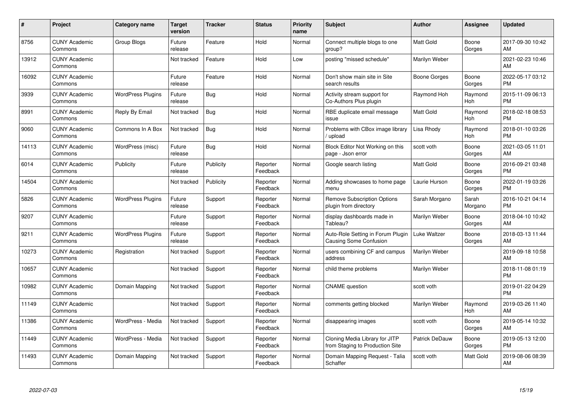| #     | Project                         | <b>Category name</b>     | <b>Target</b><br>version | <b>Tracker</b> | <b>Status</b>        | <b>Priority</b><br>name | <b>Subject</b>                                                    | <b>Author</b>    | <b>Assignee</b>  | <b>Updated</b>                |
|-------|---------------------------------|--------------------------|--------------------------|----------------|----------------------|-------------------------|-------------------------------------------------------------------|------------------|------------------|-------------------------------|
| 8756  | <b>CUNY Academic</b><br>Commons | Group Blogs              | Future<br>release        | Feature        | Hold                 | Normal                  | Connect multiple blogs to one<br>group?                           | <b>Matt Gold</b> | Boone<br>Gorges  | 2017-09-30 10:42<br>AM        |
| 13912 | <b>CUNY Academic</b><br>Commons |                          | Not tracked              | Feature        | Hold                 | Low                     | posting "missed schedule"                                         | Marilyn Weber    |                  | 2021-02-23 10:46<br><b>AM</b> |
| 16092 | <b>CUNY Academic</b><br>Commons |                          | Future<br>release        | Feature        | Hold                 | Normal                  | Don't show main site in Site<br>search results                    | Boone Gorges     | Boone<br>Gorges  | 2022-05-17 03:12<br><b>PM</b> |
| 3939  | <b>CUNY Academic</b><br>Commons | <b>WordPress Plugins</b> | Future<br>release        | Bug            | Hold                 | Normal                  | Activity stream support for<br>Co-Authors Plus plugin             | Raymond Hoh      | Raymond<br>Hoh   | 2015-11-09 06:13<br><b>PM</b> |
| 8991  | <b>CUNY Academic</b><br>Commons | Reply By Email           | Not tracked              | Bug            | Hold                 | Normal                  | RBE duplicate email message<br>issue                              | Matt Gold        | Raymond<br>Hoh   | 2018-02-18 08:53<br><b>PM</b> |
| 9060  | <b>CUNY Academic</b><br>Commons | Commons In A Box         | Not tracked              | Bug            | Hold                 | Normal                  | Problems with CBox image library<br>upload                        | Lisa Rhody       | Raymond<br>Hoh   | 2018-01-10 03:26<br><b>PM</b> |
| 14113 | <b>CUNY Academic</b><br>Commons | WordPress (misc)         | Future<br>release        | <b>Bug</b>     | Hold                 | Normal                  | Block Editor Not Working on this<br>page - Json error             | scott voth       | Boone<br>Gorges  | 2021-03-05 11:01<br>AM        |
| 6014  | <b>CUNY Academic</b><br>Commons | Publicity                | Future<br>release        | Publicity      | Reporter<br>Feedback | Normal                  | Google search listing                                             | Matt Gold        | Boone<br>Gorges  | 2016-09-21 03:48<br><b>PM</b> |
| 14504 | <b>CUNY Academic</b><br>Commons |                          | Not tracked              | Publicity      | Reporter<br>Feedback | Normal                  | Adding showcases to home page<br>menu                             | Laurie Hurson    | Boone<br>Gorges  | 2022-01-19 03:26<br><b>PM</b> |
| 5826  | <b>CUNY Academic</b><br>Commons | <b>WordPress Plugins</b> | Future<br>release        | Support        | Reporter<br>Feedback | Normal                  | <b>Remove Subscription Options</b><br>plugin from directory       | Sarah Morgano    | Sarah<br>Morgano | 2016-10-21 04:14<br><b>PM</b> |
| 9207  | <b>CUNY Academic</b><br>Commons |                          | Future<br>release        | Support        | Reporter<br>Feedback | Normal                  | display dashboards made in<br>Tableau?                            | Marilyn Weber    | Boone<br>Gorges  | 2018-04-10 10:42<br>AM        |
| 9211  | <b>CUNY Academic</b><br>Commons | <b>WordPress Plugins</b> | Future<br>release        | Support        | Reporter<br>Feedback | Normal                  | Auto-Role Setting in Forum Plugin<br>Causing Some Confusion       | Luke Waltzer     | Boone<br>Gorges  | 2018-03-13 11:44<br><b>AM</b> |
| 10273 | <b>CUNY Academic</b><br>Commons | Registration             | Not tracked              | Support        | Reporter<br>Feedback | Normal                  | users combining CF and campus<br>address                          | Marilyn Weber    |                  | 2019-09-18 10:58<br><b>AM</b> |
| 10657 | <b>CUNY Academic</b><br>Commons |                          | Not tracked              | Support        | Reporter<br>Feedback | Normal                  | child theme problems                                              | Marilyn Weber    |                  | 2018-11-08 01:19<br><b>PM</b> |
| 10982 | <b>CUNY Academic</b><br>Commons | Domain Mapping           | Not tracked              | Support        | Reporter<br>Feedback | Normal                  | <b>CNAME</b> question                                             | scott voth       |                  | 2019-01-22 04:29<br><b>PM</b> |
| 11149 | <b>CUNY Academic</b><br>Commons |                          | Not tracked              | Support        | Reporter<br>Feedback | Normal                  | comments getting blocked                                          | Marilyn Weber    | Raymond<br>Hoh   | 2019-03-26 11:40<br>AM        |
| 11386 | <b>CUNY Academic</b><br>Commons | WordPress - Media        | Not tracked              | Support        | Reporter<br>Feedback | Normal                  | disappearing images                                               | scott voth       | Boone<br>Gorges  | 2019-05-14 10:32<br>AM.       |
| 11449 | <b>CUNY Academic</b><br>Commons | WordPress - Media        | Not tracked              | Support        | Reporter<br>Feedback | Normal                  | Cloning Media Library for JITP<br>from Staging to Production Site | Patrick DeDauw   | Boone<br>Gorges  | 2019-05-13 12:00<br><b>PM</b> |
| 11493 | <b>CUNY Academic</b><br>Commons | Domain Mapping           | Not tracked              | Support        | Reporter<br>Feedback | Normal                  | Domain Mapping Request - Talia<br>Schaffer                        | scott voth       | Matt Gold        | 2019-08-06 08:39<br>AM        |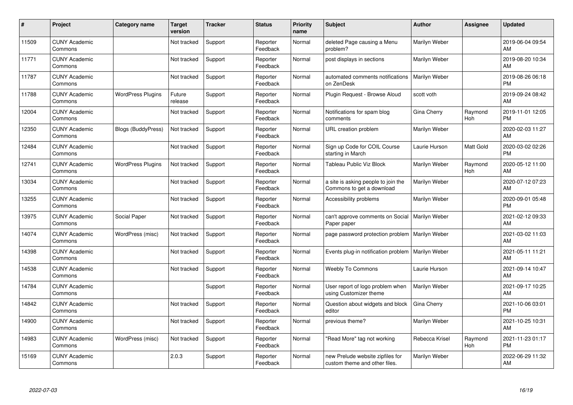| #     | Project                         | <b>Category name</b>      | <b>Target</b><br>version | <b>Tracker</b> | <b>Status</b>        | <b>Priority</b><br>name | <b>Subject</b>                                                    | <b>Author</b>  | <b>Assignee</b> | <b>Updated</b>                |
|-------|---------------------------------|---------------------------|--------------------------|----------------|----------------------|-------------------------|-------------------------------------------------------------------|----------------|-----------------|-------------------------------|
| 11509 | <b>CUNY Academic</b><br>Commons |                           | Not tracked              | Support        | Reporter<br>Feedback | Normal                  | deleted Page causing a Menu<br>problem?                           | Marilyn Weber  |                 | 2019-06-04 09:54<br>AM        |
| 11771 | <b>CUNY Academic</b><br>Commons |                           | Not tracked              | Support        | Reporter<br>Feedback | Normal                  | post displays in sections                                         | Marilyn Weber  |                 | 2019-08-20 10:34<br>AM        |
| 11787 | <b>CUNY Academic</b><br>Commons |                           | Not tracked              | Support        | Reporter<br>Feedback | Normal                  | automated comments notifications<br>on ZenDesk                    | Marilyn Weber  |                 | 2019-08-26 06:18<br><b>PM</b> |
| 11788 | <b>CUNY Academic</b><br>Commons | <b>WordPress Plugins</b>  | Future<br>release        | Support        | Reporter<br>Feedback | Normal                  | Plugin Request - Browse Aloud                                     | scott voth     |                 | 2019-09-24 08:42<br>AM        |
| 12004 | <b>CUNY Academic</b><br>Commons |                           | Not tracked              | Support        | Reporter<br>Feedback | Normal                  | Notifications for spam blog<br>comments                           | Gina Cherry    | Raymond<br>Hoh  | 2019-11-01 12:05<br><b>PM</b> |
| 12350 | <b>CUNY Academic</b><br>Commons | <b>Blogs (BuddyPress)</b> | Not tracked              | Support        | Reporter<br>Feedback | Normal                  | URL creation problem                                              | Marilyn Weber  |                 | 2020-02-03 11:27<br>AM        |
| 12484 | <b>CUNY Academic</b><br>Commons |                           | Not tracked              | Support        | Reporter<br>Feedback | Normal                  | Sign up Code for COIL Course<br>starting in March                 | Laurie Hurson  | Matt Gold       | 2020-03-02 02:26<br><b>PM</b> |
| 12741 | <b>CUNY Academic</b><br>Commons | <b>WordPress Plugins</b>  | Not tracked              | Support        | Reporter<br>Feedback | Normal                  | Tableau Public Viz Block                                          | Marilyn Weber  | Raymond<br>Hoh  | 2020-05-12 11:00<br>AM        |
| 13034 | <b>CUNY Academic</b><br>Commons |                           | Not tracked              | Support        | Reporter<br>Feedback | Normal                  | a site is asking people to join the<br>Commons to get a download  | Marilyn Weber  |                 | 2020-07-12 07:23<br>AM        |
| 13255 | <b>CUNY Academic</b><br>Commons |                           | Not tracked              | Support        | Reporter<br>Feedback | Normal                  | Accessibility problems                                            | Marilyn Weber  |                 | 2020-09-01 05:48<br>PM        |
| 13975 | <b>CUNY Academic</b><br>Commons | Social Paper              | Not tracked              | Support        | Reporter<br>Feedback | Normal                  | can't approve comments on Social<br>Paper paper                   | Marilyn Weber  |                 | 2021-02-12 09:33<br>AM        |
| 14074 | <b>CUNY Academic</b><br>Commons | WordPress (misc)          | Not tracked              | Support        | Reporter<br>Feedback | Normal                  | page password protection problem                                  | Marilyn Weber  |                 | 2021-03-02 11:03<br>AM        |
| 14398 | <b>CUNY Academic</b><br>Commons |                           | Not tracked              | Support        | Reporter<br>Feedback | Normal                  | Events plug-in notification problem                               | Marilyn Weber  |                 | 2021-05-11 11:21<br><b>AM</b> |
| 14538 | <b>CUNY Academic</b><br>Commons |                           | Not tracked              | Support        | Reporter<br>Feedback | Normal                  | <b>Weebly To Commons</b>                                          | Laurie Hurson  |                 | 2021-09-14 10:47<br>AM        |
| 14784 | <b>CUNY Academic</b><br>Commons |                           |                          | Support        | Reporter<br>Feedback | Normal                  | User report of logo problem when<br>using Customizer theme        | Marilyn Weber  |                 | 2021-09-17 10:25<br>AM        |
| 14842 | <b>CUNY Academic</b><br>Commons |                           | Not tracked              | Support        | Reporter<br>Feedback | Normal                  | Question about widgets and block<br>editor                        | Gina Cherry    |                 | 2021-10-06 03:01<br><b>PM</b> |
| 14900 | <b>CUNY Academic</b><br>Commons |                           | Not tracked              | Support        | Reporter<br>Feedback | Normal                  | previous theme?                                                   | Marilyn Weber  |                 | 2021-10-25 10:31<br>AM        |
| 14983 | <b>CUNY Academic</b><br>Commons | WordPress (misc)          | Not tracked              | Support        | Reporter<br>Feedback | Normal                  | "Read More" tag not working                                       | Rebecca Krisel | Raymond<br>Hoh  | 2021-11-23 01:17<br><b>PM</b> |
| 15169 | <b>CUNY Academic</b><br>Commons |                           | 2.0.3                    | Support        | Reporter<br>Feedback | Normal                  | new Prelude website zipfiles for<br>custom theme and other files. | Marilyn Weber  |                 | 2022-06-29 11:32<br>AM        |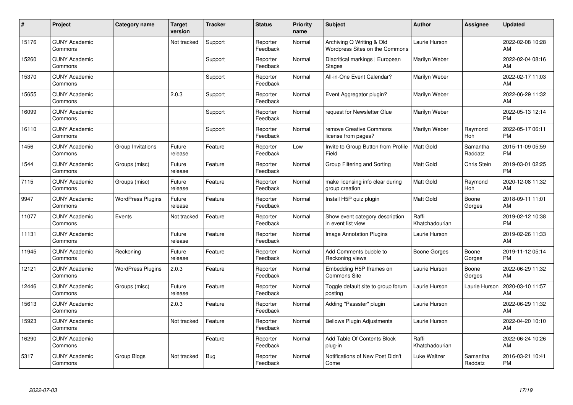| #     | Project                         | <b>Category name</b>     | <b>Target</b><br>version | <b>Tracker</b> | <b>Status</b>        | <b>Priority</b><br>name | <b>Subject</b>                                              | <b>Author</b>           | <b>Assignee</b>     | <b>Updated</b>                |
|-------|---------------------------------|--------------------------|--------------------------|----------------|----------------------|-------------------------|-------------------------------------------------------------|-------------------------|---------------------|-------------------------------|
| 15176 | <b>CUNY Academic</b><br>Commons |                          | Not tracked              | Support        | Reporter<br>Feedback | Normal                  | Archiving Q Writing & Old<br>Wordpress Sites on the Commons | Laurie Hurson           |                     | 2022-02-08 10:28<br>AM        |
| 15260 | <b>CUNY Academic</b><br>Commons |                          |                          | Support        | Reporter<br>Feedback | Normal                  | Diacritical markings   European<br><b>Stages</b>            | Marilyn Weber           |                     | 2022-02-04 08:16<br>AM        |
| 15370 | <b>CUNY Academic</b><br>Commons |                          |                          | Support        | Reporter<br>Feedback | Normal                  | All-in-One Event Calendar?                                  | Marilyn Weber           |                     | 2022-02-17 11:03<br>AM        |
| 15655 | <b>CUNY Academic</b><br>Commons |                          | 2.0.3                    | Support        | Reporter<br>Feedback | Normal                  | Event Aggregator plugin?                                    | Marilyn Weber           |                     | 2022-06-29 11:32<br>AM        |
| 16099 | <b>CUNY Academic</b><br>Commons |                          |                          | Support        | Reporter<br>Feedback | Normal                  | request for Newsletter Glue                                 | Marilyn Weber           |                     | 2022-05-13 12:14<br><b>PM</b> |
| 16110 | <b>CUNY Academic</b><br>Commons |                          |                          | Support        | Reporter<br>Feedback | Normal                  | remove Creative Commons<br>license from pages?              | Marilyn Weber           | Raymond<br>Hoh      | 2022-05-17 06:11<br><b>PM</b> |
| 1456  | <b>CUNY Academic</b><br>Commons | Group Invitations        | Future<br>release        | Feature        | Reporter<br>Feedback | Low                     | Invite to Group Button from Profile<br>Field                | Matt Gold               | Samantha<br>Raddatz | 2015-11-09 05:59<br><b>PM</b> |
| 1544  | <b>CUNY Academic</b><br>Commons | Groups (misc)            | Future<br>release        | Feature        | Reporter<br>Feedback | Normal                  | Group Filtering and Sorting                                 | <b>Matt Gold</b>        | Chris Stein         | 2019-03-01 02:25<br><b>PM</b> |
| 7115  | <b>CUNY Academic</b><br>Commons | Groups (misc)            | Future<br>release        | Feature        | Reporter<br>Feedback | Normal                  | make licensing info clear during<br>group creation          | <b>Matt Gold</b>        | Raymond<br>Hoh      | 2020-12-08 11:32<br>AM        |
| 9947  | <b>CUNY Academic</b><br>Commons | <b>WordPress Plugins</b> | Future<br>release        | Feature        | Reporter<br>Feedback | Normal                  | Install H5P quiz plugin                                     | <b>Matt Gold</b>        | Boone<br>Gorges     | 2018-09-11 11:01<br>AM.       |
| 11077 | <b>CUNY Academic</b><br>Commons | Events                   | Not tracked              | Feature        | Reporter<br>Feedback | Normal                  | Show event category description<br>in event list view       | Raffi<br>Khatchadourian |                     | 2019-02-12 10:38<br><b>PM</b> |
| 11131 | <b>CUNY Academic</b><br>Commons |                          | Future<br>release        | Feature        | Reporter<br>Feedback | Normal                  | Image Annotation Plugins                                    | Laurie Hurson           |                     | 2019-02-26 11:33<br>AM        |
| 11945 | <b>CUNY Academic</b><br>Commons | Reckoning                | Future<br>release        | Feature        | Reporter<br>Feedback | Normal                  | Add Comments bubble to<br>Reckoning views                   | Boone Gorges            | Boone<br>Gorges     | 2019-11-12 05:14<br><b>PM</b> |
| 12121 | <b>CUNY Academic</b><br>Commons | <b>WordPress Plugins</b> | 2.0.3                    | Feature        | Reporter<br>Feedback | Normal                  | Embedding H5P Iframes on<br>Commons Site                    | Laurie Hurson           | Boone<br>Gorges     | 2022-06-29 11:32<br><b>AM</b> |
| 12446 | <b>CUNY Academic</b><br>Commons | Groups (misc)            | Future<br>release        | Feature        | Reporter<br>Feedback | Normal                  | Toggle default site to group forum<br>posting               | Laurie Hurson           | Laurie Hurson       | 2020-03-10 11:57<br>AM        |
| 15613 | <b>CUNY Academic</b><br>Commons |                          | 2.0.3                    | Feature        | Reporter<br>Feedback | Normal                  | Adding "Passster" plugin                                    | Laurie Hurson           |                     | 2022-06-29 11:32<br><b>AM</b> |
| 15923 | <b>CUNY Academic</b><br>Commons |                          | Not tracked              | Feature        | Reporter<br>Feedback | Normal                  | <b>Bellows Plugin Adjustments</b>                           | Laurie Hurson           |                     | 2022-04-20 10:10<br><b>AM</b> |
| 16290 | <b>CUNY Academic</b><br>Commons |                          |                          | Feature        | Reporter<br>Feedback | Normal                  | Add Table Of Contents Block<br>plug-in                      | Raffi<br>Khatchadourian |                     | 2022-06-24 10:26<br>AM        |
| 5317  | <b>CUNY Academic</b><br>Commons | Group Blogs              | Not tracked              | Bug            | Reporter<br>Feedback | Normal                  | Notifications of New Post Didn't<br>Come                    | Luke Waltzer            | Samantha<br>Raddatz | 2016-03-21 10:41<br>PM        |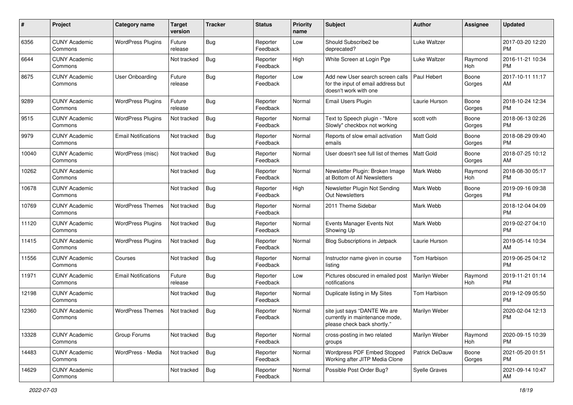| #     | Project                         | <b>Category name</b>       | Target<br>version | <b>Tracker</b> | <b>Status</b>        | <b>Priority</b><br>name | <b>Subject</b>                                                                                  | <b>Author</b>    | <b>Assignee</b> | <b>Updated</b>                |
|-------|---------------------------------|----------------------------|-------------------|----------------|----------------------|-------------------------|-------------------------------------------------------------------------------------------------|------------------|-----------------|-------------------------------|
| 6356  | <b>CUNY Academic</b><br>Commons | <b>WordPress Plugins</b>   | Future<br>release | <b>Bug</b>     | Reporter<br>Feedback | Low                     | Should Subscribe2 be<br>deprecated?                                                             | Luke Waltzer     |                 | 2017-03-20 12:20<br><b>PM</b> |
| 6644  | <b>CUNY Academic</b><br>Commons |                            | Not tracked       | Bug            | Reporter<br>Feedback | High                    | White Screen at Login Pge                                                                       | Luke Waltzer     | Raymond<br>Hoh  | 2016-11-21 10:34<br><b>PM</b> |
| 8675  | <b>CUNY Academic</b><br>Commons | <b>User Onboarding</b>     | Future<br>release | Bug            | Reporter<br>Feedback | Low                     | Add new User search screen calls<br>for the input of email address but<br>doesn't work with one | Paul Hebert      | Boone<br>Gorges | 2017-10-11 11:17<br>AM        |
| 9289  | <b>CUNY Academic</b><br>Commons | <b>WordPress Plugins</b>   | Future<br>release | <b>Bug</b>     | Reporter<br>Feedback | Normal                  | Email Users Plugin                                                                              | Laurie Hurson    | Boone<br>Gorges | 2018-10-24 12:34<br><b>PM</b> |
| 9515  | <b>CUNY Academic</b><br>Commons | <b>WordPress Plugins</b>   | Not tracked       | Bug            | Reporter<br>Feedback | Normal                  | Text to Speech plugin - "More<br>Slowly" checkbox not working                                   | scott voth       | Boone<br>Gorges | 2018-06-13 02:26<br><b>PM</b> |
| 9979  | <b>CUNY Academic</b><br>Commons | <b>Email Notifications</b> | Not tracked       | Bug            | Reporter<br>Feedback | Normal                  | Reports of slow email activation<br>emails                                                      | <b>Matt Gold</b> | Boone<br>Gorges | 2018-08-29 09:40<br><b>PM</b> |
| 10040 | <b>CUNY Academic</b><br>Commons | WordPress (misc)           | Not tracked       | Bug            | Reporter<br>Feedback | Normal                  | User doesn't see full list of themes                                                            | Matt Gold        | Boone<br>Gorges | 2018-07-25 10:12<br>AM        |
| 10262 | <b>CUNY Academic</b><br>Commons |                            | Not tracked       | <b>Bug</b>     | Reporter<br>Feedback | Normal                  | Newsletter Plugin: Broken Image<br>at Bottom of All Newsletters                                 | Mark Webb        | Raymond<br>Hoh  | 2018-08-30 05:17<br><b>PM</b> |
| 10678 | <b>CUNY Academic</b><br>Commons |                            | Not tracked       | Bug            | Reporter<br>Feedback | High                    | Newsletter Plugin Not Sending<br>Out Newsletters                                                | Mark Webb        | Boone<br>Gorges | 2019-09-16 09:38<br>PM.       |
| 10769 | <b>CUNY Academic</b><br>Commons | <b>WordPress Themes</b>    | Not tracked       | <b>Bug</b>     | Reporter<br>Feedback | Normal                  | 2011 Theme Sidebar                                                                              | Mark Webb        |                 | 2018-12-04 04:09<br><b>PM</b> |
| 11120 | <b>CUNY Academic</b><br>Commons | <b>WordPress Plugins</b>   | Not tracked       | Bug            | Reporter<br>Feedback | Normal                  | Events Manager Events Not<br>Showing Up                                                         | Mark Webb        |                 | 2019-02-27 04:10<br><b>PM</b> |
| 11415 | <b>CUNY Academic</b><br>Commons | <b>WordPress Plugins</b>   | Not tracked       | <b>Bug</b>     | Reporter<br>Feedback | Normal                  | Blog Subscriptions in Jetpack                                                                   | Laurie Hurson    |                 | 2019-05-14 10:34<br>AM        |
| 11556 | <b>CUNY Academic</b><br>Commons | Courses                    | Not tracked       | <b>Bug</b>     | Reporter<br>Feedback | Normal                  | Instructor name given in course<br>listing                                                      | Tom Harbison     |                 | 2019-06-25 04:12<br><b>PM</b> |
| 11971 | <b>CUNY Academic</b><br>Commons | <b>Email Notifications</b> | Future<br>release | Bug            | Reporter<br>Feedback | Low                     | Pictures obscured in emailed post<br>notifications                                              | Marilyn Weber    | Raymond<br>Hoh  | 2019-11-21 01:14<br><b>PM</b> |
| 12198 | <b>CUNY Academic</b><br>Commons |                            | Not tracked       | <b>Bug</b>     | Reporter<br>Feedback | Normal                  | Duplicate listing in My Sites                                                                   | Tom Harbison     |                 | 2019-12-09 05:50<br><b>PM</b> |
| 12360 | <b>CUNY Academic</b><br>Commons | <b>WordPress Themes</b>    | Not tracked       | Bug            | Reporter<br>Feedback | Normal                  | site just says "DANTE We are<br>currently in maintenance mode,<br>please check back shortly."   | Marilyn Weber    |                 | 2020-02-04 12:13<br><b>PM</b> |
| 13328 | <b>CUNY Academic</b><br>Commons | Group Forums               | Not tracked       | Bug            | Reporter<br>Feedback | Normal                  | cross-posting in two related<br>groups                                                          | Marilyn Weber    | Raymond<br>Hoh  | 2020-09-15 10:39<br><b>PM</b> |
| 14483 | <b>CUNY Academic</b><br>Commons | WordPress - Media          | Not tracked       | <b>Bug</b>     | Reporter<br>Feedback | Normal                  | Wordpress PDF Embed Stopped<br>Working after JITP Media Clone                                   | Patrick DeDauw   | Boone<br>Gorges | 2021-05-20 01:51<br><b>PM</b> |
| 14629 | <b>CUNY Academic</b><br>Commons |                            | Not tracked       | Bug            | Reporter<br>Feedback | Normal                  | Possible Post Order Bug?                                                                        | Syelle Graves    |                 | 2021-09-14 10:47<br>AM        |